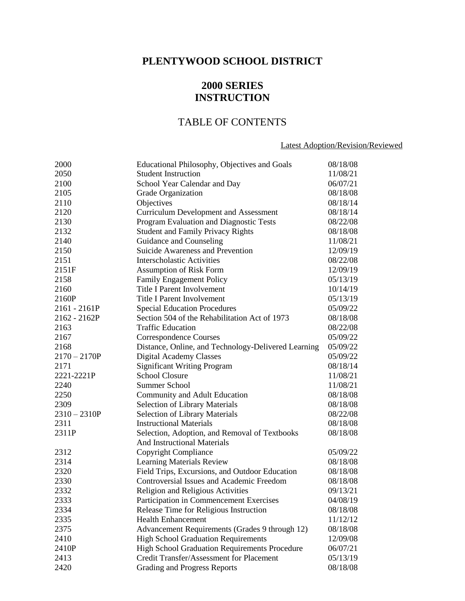# **PLENTYWOOD SCHOOL DISTRICT**

# **2000 SERIES INSTRUCTION**

# TABLE OF CONTENTS

# Latest Adoption/Revision/Reviewed

| 2000           | Educational Philosophy, Objectives and Goals        | 08/18/08             |
|----------------|-----------------------------------------------------|----------------------|
| 2050           | <b>Student Instruction</b>                          |                      |
| 2100           | School Year Calendar and Day                        | 11/08/21<br>06/07/21 |
| 2105           | Grade Organization                                  | 08/18/08             |
| 2110           | Objectives                                          | 08/18/14             |
| 2120           | <b>Curriculum Development and Assessment</b>        | 08/18/14             |
| 2130           | Program Evaluation and Diagnostic Tests             | 08/22/08             |
| 2132           | <b>Student and Family Privacy Rights</b>            | 08/18/08             |
| 2140           | Guidance and Counseling                             | 11/08/21             |
| 2150           | Suicide Awareness and Prevention                    | 12/09/19             |
| 2151           | <b>Interscholastic Activities</b>                   | 08/22/08             |
| 2151F          | <b>Assumption of Risk Form</b>                      | 12/09/19             |
| 2158           | <b>Family Engagement Policy</b>                     | 05/13/19             |
| 2160           | <b>Title I Parent Involvement</b>                   | 10/14/19             |
| 2160P          | <b>Title I Parent Involvement</b>                   | 05/13/19             |
| 2161 - 2161P   | <b>Special Education Procedures</b>                 | 05/09/22             |
| 2162 - 2162P   | Section 504 of the Rehabilitation Act of 1973       | 08/18/08             |
| 2163           | <b>Traffic Education</b>                            | 08/22/08             |
| 2167           | <b>Correspondence Courses</b>                       | 05/09/22             |
| 2168           | Distance, Online, and Technology-Delivered Learning | 05/09/22             |
| $2170 - 2170P$ | <b>Digital Academy Classes</b>                      | 05/09/22             |
| 2171           | <b>Significant Writing Program</b>                  | 08/18/14             |
| 2221-2221P     | <b>School Closure</b>                               | 11/08/21             |
| 2240           | <b>Summer School</b>                                | 11/08/21             |
| 2250           | Community and Adult Education                       | 08/18/08             |
| 2309           | Selection of Library Materials                      | 08/18/08             |
| $2310 - 2310P$ | <b>Selection of Library Materials</b>               | 08/22/08             |
| 2311           | <b>Instructional Materials</b>                      | 08/18/08             |
| 2311P          | Selection, Adoption, and Removal of Textbooks       | 08/18/08             |
|                | <b>And Instructional Materials</b>                  |                      |
| 2312           | Copyright Compliance                                | 05/09/22             |
| 2314           | Learning Materials Review                           | 08/18/08             |
| 2320           | Field Trips, Excursions, and Outdoor Education      | 08/18/08             |
| 2330           | Controversial Issues and Academic Freedom           | 08/18/08             |
| 2332           | Religion and Religious Activities                   | 09/13/21             |
| 2333           | Participation in Commencement Exercises             | 04/08/19             |
| 2334           | Release Time for Religious Instruction              | 08/18/08             |
| 2335           | <b>Health Enhancement</b>                           | 11/12/12             |
| 2375           | Advancement Requirements (Grades 9 through 12)      | 08/18/08             |
| 2410           | <b>High School Graduation Requirements</b>          | 12/09/08             |
| 2410P          | High School Graduation Requirements Procedure       | 06/07/21             |
| 2413           | Credit Transfer/Assessment for Placement            | 05/13/19             |
| 2420           | <b>Grading and Progress Reports</b>                 | 08/18/08             |
|                |                                                     |                      |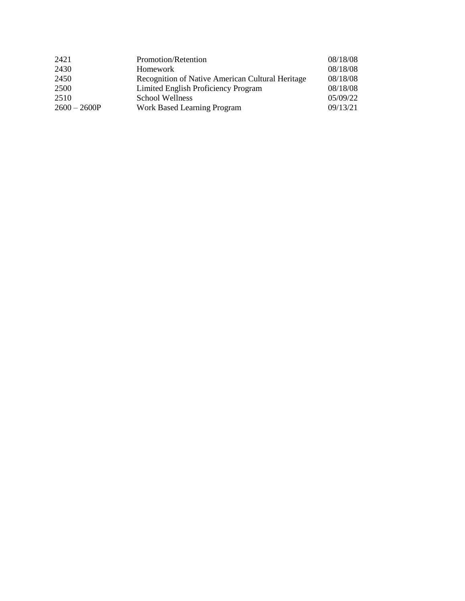| 2421           | Promotion/Retention                              | 08/18/08 |
|----------------|--------------------------------------------------|----------|
| 2430           | Homework                                         | 08/18/08 |
| 2450           | Recognition of Native American Cultural Heritage | 08/18/08 |
| 2500           | Limited English Proficiency Program              | 08/18/08 |
| 2510           | School Wellness                                  | 05/09/22 |
| $2600 - 2600P$ | Work Based Learning Program                      | 09/13/21 |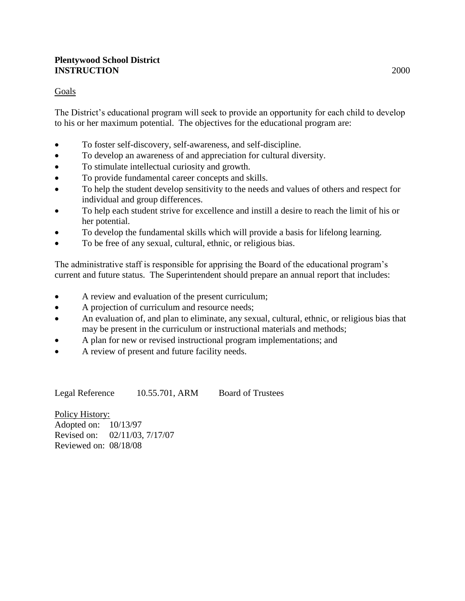# **Plentywood School District INSTRUCTION** 2000

# Goals

The District's educational program will seek to provide an opportunity for each child to develop to his or her maximum potential. The objectives for the educational program are:

- To foster self-discovery, self-awareness, and self-discipline.
- To develop an awareness of and appreciation for cultural diversity.
- To stimulate intellectual curiosity and growth.
- To provide fundamental career concepts and skills.
- To help the student develop sensitivity to the needs and values of others and respect for individual and group differences.
- To help each student strive for excellence and instill a desire to reach the limit of his or her potential.
- To develop the fundamental skills which will provide a basis for lifelong learning.
- To be free of any sexual, cultural, ethnic, or religious bias.

The administrative staff is responsible for apprising the Board of the educational program's current and future status. The Superintendent should prepare an annual report that includes:

- A review and evaluation of the present curriculum;
- A projection of curriculum and resource needs;
- An evaluation of, and plan to eliminate, any sexual, cultural, ethnic, or religious bias that may be present in the curriculum or instructional materials and methods;
- A plan for new or revised instructional program implementations; and
- A review of present and future facility needs.

Legal Reference 10.55.701, ARM Board of Trustees

Policy History: Adopted on: 10/13/97 Revised on: 02/11/03, 7/17/07 Reviewed on: 08/18/08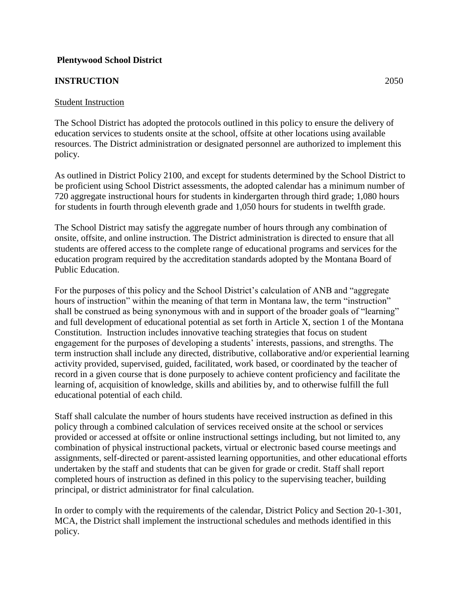## **INSTRUCTION** 2050

### Student Instruction

The School District has adopted the protocols outlined in this policy to ensure the delivery of education services to students onsite at the school, offsite at other locations using available resources. The District administration or designated personnel are authorized to implement this policy.

As outlined in District Policy 2100, and except for students determined by the School District to be proficient using School District assessments, the adopted calendar has a minimum number of 720 aggregate instructional hours for students in kindergarten through third grade; 1,080 hours for students in fourth through eleventh grade and 1,050 hours for students in twelfth grade.

The School District may satisfy the aggregate number of hours through any combination of onsite, offsite, and online instruction. The District administration is directed to ensure that all students are offered access to the complete range of educational programs and services for the education program required by the accreditation standards adopted by the Montana Board of Public Education.

For the purposes of this policy and the School District's calculation of ANB and "aggregate hours of instruction" within the meaning of that term in Montana law, the term "instruction" shall be construed as being synonymous with and in support of the broader goals of "learning" and full development of educational potential as set forth in Article X, section 1 of the Montana Constitution. Instruction includes innovative teaching strategies that focus on student engagement for the purposes of developing a students' interests, passions, and strengths. The term instruction shall include any directed, distributive, collaborative and/or experiential learning activity provided, supervised, guided, facilitated, work based, or coordinated by the teacher of record in a given course that is done purposely to achieve content proficiency and facilitate the learning of, acquisition of knowledge, skills and abilities by, and to otherwise fulfill the full educational potential of each child.

Staff shall calculate the number of hours students have received instruction as defined in this policy through a combined calculation of services received onsite at the school or services provided or accessed at offsite or online instructional settings including, but not limited to, any combination of physical instructional packets, virtual or electronic based course meetings and assignments, self-directed or parent-assisted learning opportunities, and other educational efforts undertaken by the staff and students that can be given for grade or credit. Staff shall report completed hours of instruction as defined in this policy to the supervising teacher, building principal, or district administrator for final calculation.

In order to comply with the requirements of the calendar, District Policy and Section 20-1-301, MCA, the District shall implement the instructional schedules and methods identified in this policy.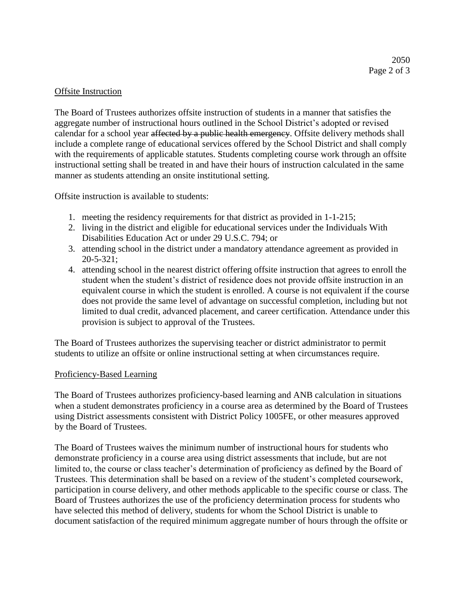# Offsite Instruction

The Board of Trustees authorizes offsite instruction of students in a manner that satisfies the aggregate number of instructional hours outlined in the School District's adopted or revised calendar for a school year affected by a public health emergency. Offsite delivery methods shall include a complete range of educational services offered by the School District and shall comply with the requirements of applicable statutes. Students completing course work through an offsite instructional setting shall be treated in and have their hours of instruction calculated in the same manner as students attending an onsite institutional setting.

Offsite instruction is available to students:

- 1. meeting the residency requirements for that district as provided in 1-1-215;
- 2. living in the district and eligible for educational services under the Individuals With Disabilities Education Act or under 29 U.S.C. 794; or
- 3. attending school in the district under a mandatory attendance agreement as provided in 20-5-321;
- 4. attending school in the nearest district offering offsite instruction that agrees to enroll the student when the student's district of residence does not provide offsite instruction in an equivalent course in which the student is enrolled. A course is not equivalent if the course does not provide the same level of advantage on successful completion, including but not limited to dual credit, advanced placement, and career certification. Attendance under this provision is subject to approval of the Trustees.

The Board of Trustees authorizes the supervising teacher or district administrator to permit students to utilize an offsite or online instructional setting at when circumstances require.

### Proficiency-Based Learning

The Board of Trustees authorizes proficiency-based learning and ANB calculation in situations when a student demonstrates proficiency in a course area as determined by the Board of Trustees using District assessments consistent with District Policy 1005FE, or other measures approved by the Board of Trustees.

The Board of Trustees waives the minimum number of instructional hours for students who demonstrate proficiency in a course area using district assessments that include, but are not limited to, the course or class teacher's determination of proficiency as defined by the Board of Trustees. This determination shall be based on a review of the student's completed coursework, participation in course delivery, and other methods applicable to the specific course or class. The Board of Trustees authorizes the use of the proficiency determination process for students who have selected this method of delivery, students for whom the School District is unable to document satisfaction of the required minimum aggregate number of hours through the offsite or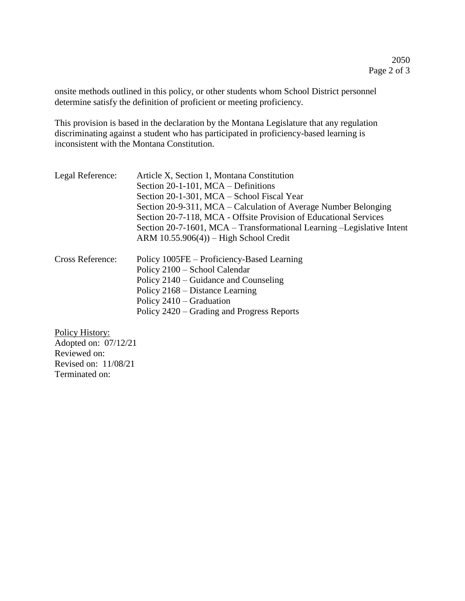onsite methods outlined in this policy, or other students whom School District personnel determine satisfy the definition of proficient or meeting proficiency.

This provision is based in the declaration by the Montana Legislature that any regulation discriminating against a student who has participated in proficiency-based learning is inconsistent with the Montana Constitution.

| Legal Reference:        | Article X, Section 1, Montana Constitution                                           |  |  |
|-------------------------|--------------------------------------------------------------------------------------|--|--|
|                         | Section $20-1-101$ , MCA – Definitions<br>Section 20-1-301, MCA - School Fiscal Year |  |  |
|                         |                                                                                      |  |  |
|                         | Section 20-9-311, MCA – Calculation of Average Number Belonging                      |  |  |
|                         | Section 20-7-118, MCA - Offsite Provision of Educational Services                    |  |  |
|                         | Section 20-7-1601, MCA – Transformational Learning – Legislative Intent              |  |  |
|                         | $ARM$ 10.55.906(4)) – High School Credit                                             |  |  |
| <b>Cross Reference:</b> | Policy 1005FE – Proficiency-Based Learning                                           |  |  |
|                         | Policy 2100 - School Calendar                                                        |  |  |
|                         | Policy $2140$ – Guidance and Counseling                                              |  |  |
|                         | Policy 2168 – Distance Learning                                                      |  |  |
|                         | Policy $2410 -$ Graduation                                                           |  |  |
|                         | Policy 2420 – Grading and Progress Reports                                           |  |  |

Policy History: Adopted on: 07/12/21 Reviewed on: Revised on: 11/08/21 Terminated on: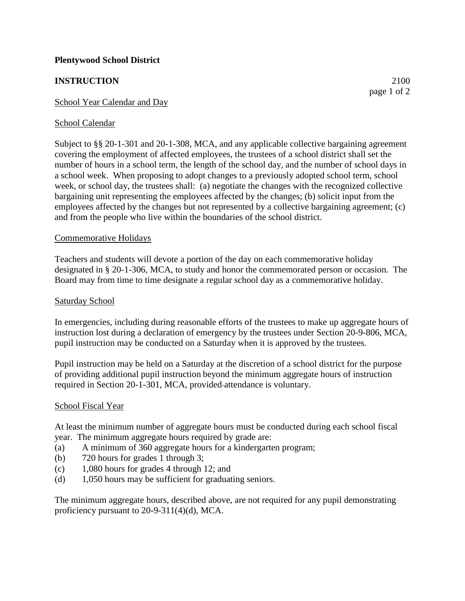# **INSTRUCTION** 2100

### School Year Calendar and Day

## School Calendar

Subject to §§ 20-1-301 and 20-1-308, MCA, and any applicable collective bargaining agreement covering the employment of affected employees, the trustees of a school district shall set the number of hours in a school term, the length of the school day, and the number of school days in a school week. When proposing to adopt changes to a previously adopted school term, school week, or school day, the trustees shall: (a) negotiate the changes with the recognized collective bargaining unit representing the employees affected by the changes; (b) solicit input from the employees affected by the changes but not represented by a collective bargaining agreement; (c) and from the people who live within the boundaries of the school district.

### Commemorative Holidays

Teachers and students will devote a portion of the day on each commemorative holiday designated in § 20-1-306, MCA, to study and honor the commemorated person or occasion. The Board may from time to time designate a regular school day as a commemorative holiday.

### Saturday School

In emergencies, including during reasonable efforts of the trustees to make up aggregate hours of instruction lost during a declaration of emergency by the trustees under Section 20-9-806, MCA, pupil instruction may be conducted on a Saturday when it is approved by the trustees.

Pupil instruction may be held on a Saturday at the discretion of a school district for the purpose of providing additional pupil instruction beyond the minimum aggregate hours of instruction required in Section 20-1-301, MCA, provided attendance is voluntary.

#### School Fiscal Year

At least the minimum number of aggregate hours must be conducted during each school fiscal year. The minimum aggregate hours required by grade are:

- (a) A minimum of 360 aggregate hours for a kindergarten program;
- (b) 720 hours for grades 1 through 3;
- (c) 1,080 hours for grades 4 through 12; and
- (d) 1,050 hours may be sufficient for graduating seniors.

The minimum aggregate hours, described above, are not required for any pupil demonstrating proficiency pursuant to 20-9-311(4)(d), MCA.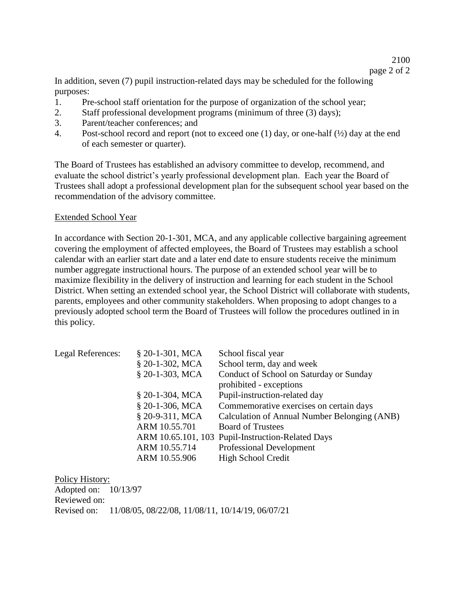#### 2100 page 2 of 2

In addition, seven (7) pupil instruction-related days may be scheduled for the following purposes:

- 1. Pre-school staff orientation for the purpose of organization of the school year;
- 2. Staff professional development programs (minimum of three (3) days);
- 3. Parent/teacher conferences; and
- 4. Post-school record and report (not to exceed one (1) day, or one-half (½) day at the end of each semester or quarter).

The Board of Trustees has established an advisory committee to develop, recommend, and evaluate the school district's yearly professional development plan. Each year the Board of Trustees shall adopt a professional development plan for the subsequent school year based on the recommendation of the advisory committee.

### Extended School Year

In accordance with Section 20-1-301, MCA, and any applicable collective bargaining agreement covering the employment of affected employees, the Board of Trustees may establish a school calendar with an earlier start date and a later end date to ensure students receive the minimum number aggregate instructional hours. The purpose of an extended school year will be to maximize flexibility in the delivery of instruction and learning for each student in the School District. When setting an extended school year, the School District will collaborate with students, parents, employees and other community stakeholders. When proposing to adopt changes to a previously adopted school term the Board of Trustees will follow the procedures outlined in in this policy.

| Legal References: | § 20-1-301, MCA   | School fiscal year                                |
|-------------------|-------------------|---------------------------------------------------|
|                   | $$20-1-302, MCA$  | School term, day and week                         |
|                   | § 20-1-303, MCA   | Conduct of School on Saturday or Sunday           |
|                   |                   | prohibited - exceptions                           |
|                   | $$20-1-304, MCA$  | Pupil-instruction-related day                     |
|                   | $$20-1-306$ , MCA | Commemorative exercises on certain days           |
|                   | § 20-9-311, MCA   | Calculation of Annual Number Belonging (ANB)      |
|                   | ARM 10.55.701     | <b>Board of Trustees</b>                          |
|                   |                   | ARM 10.65.101, 103 Pupil-Instruction-Related Days |
|                   | ARM 10.55.714     | <b>Professional Development</b>                   |
|                   | ARM 10.55.906     | High School Credit                                |

Policy History: Adopted on: 10/13/97 Reviewed on: Revised on: 11/08/05, 08/22/08, 11/08/11, 10/14/19, 06/07/21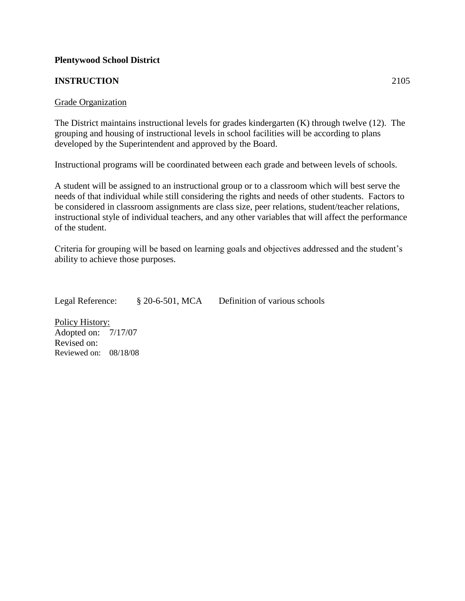### **INSTRUCTION** 2105

#### Grade Organization

The District maintains instructional levels for grades kindergarten (K) through twelve (12). The grouping and housing of instructional levels in school facilities will be according to plans developed by the Superintendent and approved by the Board.

Instructional programs will be coordinated between each grade and between levels of schools.

A student will be assigned to an instructional group or to a classroom which will best serve the needs of that individual while still considering the rights and needs of other students. Factors to be considered in classroom assignments are class size, peer relations, student/teacher relations, instructional style of individual teachers, and any other variables that will affect the performance of the student.

Criteria for grouping will be based on learning goals and objectives addressed and the student's ability to achieve those purposes.

Legal Reference: § 20-6-501, MCA Definition of various schools

Policy History: Adopted on: 7/17/07 Revised on: Reviewed on: 08/18/08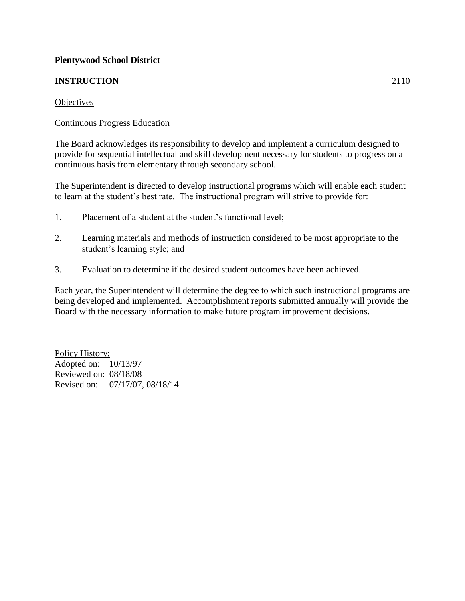# **INSTRUCTION** 2110

### **Objectives**

### Continuous Progress Education

The Board acknowledges its responsibility to develop and implement a curriculum designed to provide for sequential intellectual and skill development necessary for students to progress on a continuous basis from elementary through secondary school.

The Superintendent is directed to develop instructional programs which will enable each student to learn at the student's best rate. The instructional program will strive to provide for:

- 1. Placement of a student at the student's functional level;
- 2. Learning materials and methods of instruction considered to be most appropriate to the student's learning style; and
- 3. Evaluation to determine if the desired student outcomes have been achieved.

Each year, the Superintendent will determine the degree to which such instructional programs are being developed and implemented. Accomplishment reports submitted annually will provide the Board with the necessary information to make future program improvement decisions.

Policy History: Adopted on: 10/13/97 Reviewed on: 08/18/08 Revised on: 07/17/07, 08/18/14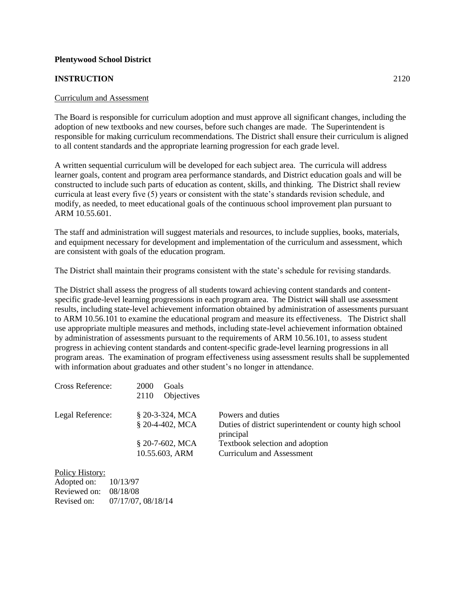#### **INSTRUCTION** 2120

#### Curriculum and Assessment

The Board is responsible for curriculum adoption and must approve all significant changes, including the adoption of new textbooks and new courses, before such changes are made. The Superintendent is responsible for making curriculum recommendations. The District shall ensure their curriculum is aligned to all content standards and the appropriate learning progression for each grade level.

A written sequential curriculum will be developed for each subject area. The curricula will address learner goals, content and program area performance standards, and District education goals and will be constructed to include such parts of education as content, skills, and thinking. The District shall review curricula at least every five (5) years or consistent with the state's standards revision schedule, and modify, as needed, to meet educational goals of the continuous school improvement plan pursuant to ARM 10.55.601.

The staff and administration will suggest materials and resources, to include supplies, books, materials, and equipment necessary for development and implementation of the curriculum and assessment, which are consistent with goals of the education program.

The District shall maintain their programs consistent with the state's schedule for revising standards.

The District shall assess the progress of all students toward achieving content standards and contentspecific grade-level learning progressions in each program area. The District will shall use assessment results, including state-level achievement information obtained by administration of assessments pursuant to ARM 10.56.101 to examine the educational program and measure its effectiveness. The District shall use appropriate multiple measures and methods, including state-level achievement information obtained by administration of assessments pursuant to the requirements of ARM 10.56.101, to assess student progress in achieving content standards and content-specific grade-level learning progressions in all program areas. The examination of program effectiveness using assessment results shall be supplemented with information about graduates and other student's no longer in attendance.

| Cross Reference:                                                  | <b>2000</b><br>Goals<br>Objectives<br>2110 |                                                                                           |
|-------------------------------------------------------------------|--------------------------------------------|-------------------------------------------------------------------------------------------|
| Legal Reference:                                                  | § 20-3-324, MCA<br>$$20-4-402$ , MCA       | Powers and duties<br>Duties of district superintendent or county high school<br>principal |
|                                                                   | $$20-7-602$ , MCA                          | Textbook selection and adoption                                                           |
| $D_{\alpha}1_{\alpha}^{*}$ or $H_{\alpha}^{*}$ . $H_{\alpha}^{*}$ | 10.55.603, ARM                             | <b>Curriculum and Assessment</b>                                                          |

Policy History: Adopted on: 10/13/97 Reviewed on: 08/18/08 Revised on: 07/17/07, 08/18/14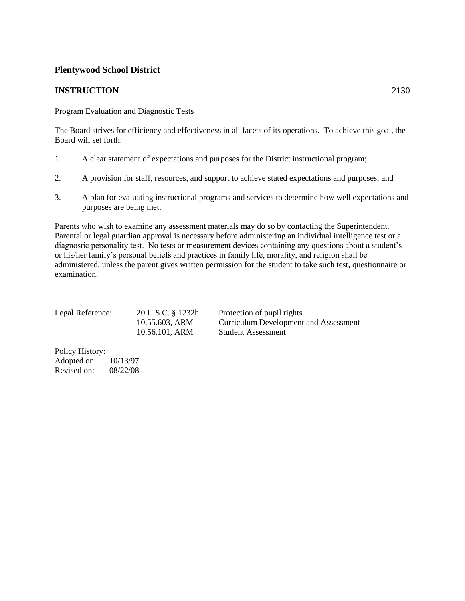#### **INSTRUCTION** 2130

#### Program Evaluation and Diagnostic Tests

The Board strives for efficiency and effectiveness in all facets of its operations. To achieve this goal, the Board will set forth:

- 1. A clear statement of expectations and purposes for the District instructional program;
- 2. A provision for staff, resources, and support to achieve stated expectations and purposes; and
- 3. A plan for evaluating instructional programs and services to determine how well expectations and purposes are being met.

Parents who wish to examine any assessment materials may do so by contacting the Superintendent. Parental or legal guardian approval is necessary before administering an individual intelligence test or a diagnostic personality test. No tests or measurement devices containing any questions about a student's or his/her family's personal beliefs and practices in family life, morality, and religion shall be administered, unless the parent gives written permission for the student to take such test, questionnaire or examination.

| Legal Reference: | 20 U.S.C. § 1232h<br>10.55.603, ARM | Protection of pupil rights<br><b>Curriculum Development and Assessment</b> |
|------------------|-------------------------------------|----------------------------------------------------------------------------|
|                  | 10.56.101, ARM                      | <b>Student Assessment</b>                                                  |

Policy History: Adopted on: 10/13/97 Revised on: 08/22/08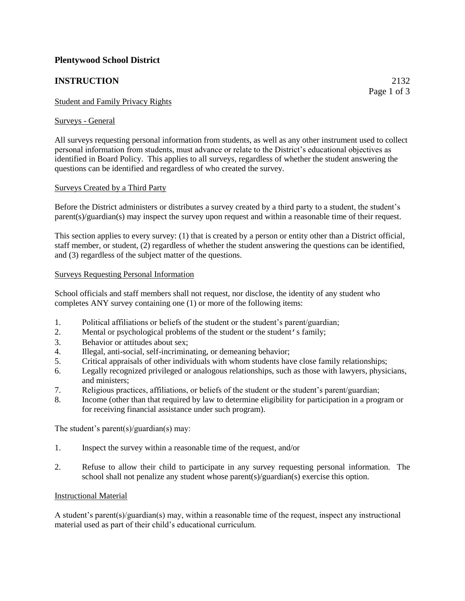# **INSTRUCTION** 2132

#### Student and Family Privacy Rights

#### Surveys - General

All surveys requesting personal information from students, as well as any other instrument used to collect personal information from students, must advance or relate to the District's educational objectives as identified in Board Policy. This applies to all surveys, regardless of whether the student answering the questions can be identified and regardless of who created the survey.

#### Surveys Created by a Third Party

Before the District administers or distributes a survey created by a third party to a student, the student's parent(s)/guardian(s) may inspect the survey upon request and within a reasonable time of their request.

This section applies to every survey: (1) that is created by a person or entity other than a District official, staff member, or student, (2) regardless of whether the student answering the questions can be identified, and (3) regardless of the subject matter of the questions.

#### Surveys Requesting Personal Information

School officials and staff members shall not request, nor disclose, the identity of any student who completes ANY survey containing one (1) or more of the following items:

- 1. Political affiliations or beliefs of the student or the student's parent/guardian;
- 2. Mental or psychological problems of the student or the student's family;
- 3. Behavior or attitudes about sex;
- 4. Illegal, anti-social, self-incriminating, or demeaning behavior;
- 5. Critical appraisals of other individuals with whom students have close family relationships;
- 6. Legally recognized privileged or analogous relationships, such as those with lawyers, physicians, and ministers;
- 7. Religious practices, affiliations, or beliefs of the student or the student's parent/guardian;
- 8. Income (other than that required by law to determine eligibility for participation in a program or for receiving financial assistance under such program).

The student's parent(s)/guardian(s) may:

- 1. Inspect the survey within a reasonable time of the request, and/or
- 2. Refuse to allow their child to participate in any survey requesting personal information. The school shall not penalize any student whose parent(s)/guardian(s) exercise this option.

#### Instructional Material

A student's parent(s)/guardian(s) may, within a reasonable time of the request, inspect any instructional material used as part of their child's educational curriculum.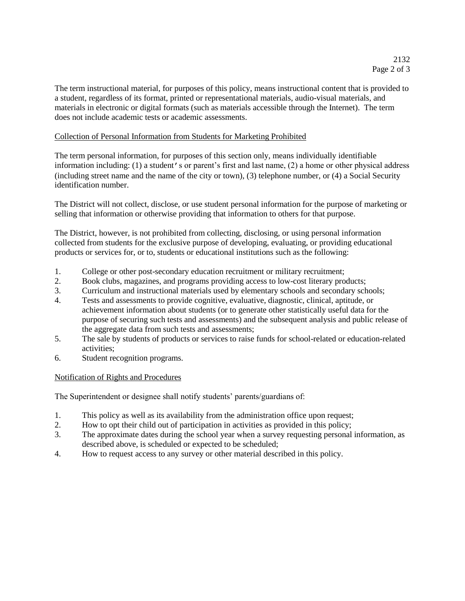The term instructional material, for purposes of this policy, means instructional content that is provided to a student, regardless of its format, printed or representational materials, audio-visual materials, and materials in electronic or digital formats (such as materials accessible through the Internet). The term does not include academic tests or academic assessments.

#### Collection of Personal Information from Students for Marketing Prohibited

The term personal information, for purposes of this section only, means individually identifiable information including: (1) a student's or parent's first and last name, (2) a home or other physical address (including street name and the name of the city or town), (3) telephone number, or (4) a Social Security identification number.

The District will not collect, disclose, or use student personal information for the purpose of marketing or selling that information or otherwise providing that information to others for that purpose.

The District, however, is not prohibited from collecting, disclosing, or using personal information collected from students for the exclusive purpose of developing, evaluating, or providing educational products or services for, or to, students or educational institutions such as the following:

- 1. College or other post-secondary education recruitment or military recruitment;
- 2. Book clubs, magazines, and programs providing access to low-cost literary products;
- 3. Curriculum and instructional materials used by elementary schools and secondary schools;
- 4. Tests and assessments to provide cognitive, evaluative, diagnostic, clinical, aptitude, or achievement information about students (or to generate other statistically useful data for the purpose of securing such tests and assessments) and the subsequent analysis and public release of the aggregate data from such tests and assessments;
- 5. The sale by students of products or services to raise funds for school-related or education-related activities;
- 6. Student recognition programs.

#### Notification of Rights and Procedures

The Superintendent or designee shall notify students' parents/guardians of:

- 1. This policy as well as its availability from the administration office upon request;
- 2. How to opt their child out of participation in activities as provided in this policy;
- 3. The approximate dates during the school year when a survey requesting personal information, as described above, is scheduled or expected to be scheduled;
- 4. How to request access to any survey or other material described in this policy.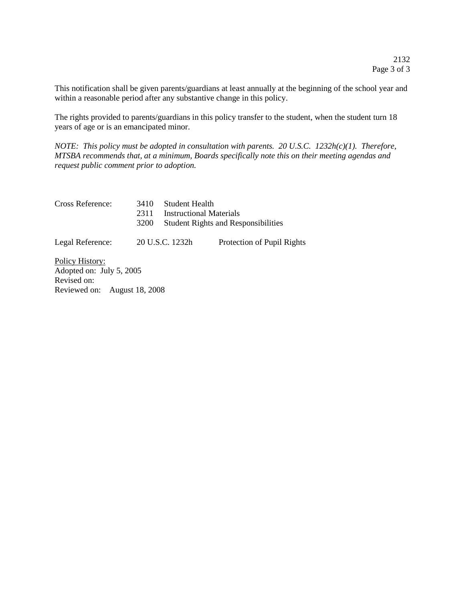This notification shall be given parents/guardians at least annually at the beginning of the school year and within a reasonable period after any substantive change in this policy.

The rights provided to parents/guardians in this policy transfer to the student, when the student turn 18 years of age or is an emancipated minor.

*NOTE: This policy must be adopted in consultation with parents. 20 U.S.C. 1232h(c)(1). Therefore, MTSBA recommends that, at a minimum, Boards specifically note this on their meeting agendas and request public comment prior to adoption.*

| Cross Reference:                            | 3410<br>2311<br>3200 | <b>Student Health</b><br><b>Instructional Materials</b> | <b>Student Rights and Responsibilities</b> |
|---------------------------------------------|----------------------|---------------------------------------------------------|--------------------------------------------|
| Legal Reference:                            |                      | 20 U.S.C. 1232h                                         | Protection of Pupil Rights                 |
| Policy History:<br>Adopted on: July 5, 2005 |                      |                                                         |                                            |

1y *5, 2*005 Revised on: Reviewed on: August 18, 2008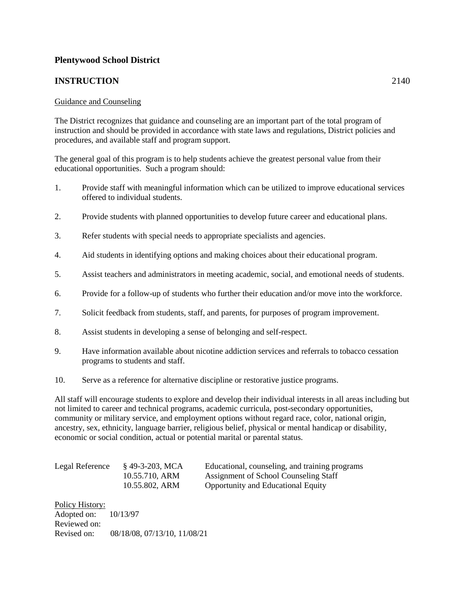## **INSTRUCTION** 2140

#### Guidance and Counseling

The District recognizes that guidance and counseling are an important part of the total program of instruction and should be provided in accordance with state laws and regulations, District policies and procedures, and available staff and program support.

The general goal of this program is to help students achieve the greatest personal value from their educational opportunities. Such a program should:

- 1. Provide staff with meaningful information which can be utilized to improve educational services offered to individual students.
- 2. Provide students with planned opportunities to develop future career and educational plans.
- 3. Refer students with special needs to appropriate specialists and agencies.
- 4. Aid students in identifying options and making choices about their educational program.
- 5. Assist teachers and administrators in meeting academic, social, and emotional needs of students.
- 6. Provide for a follow-up of students who further their education and/or move into the workforce.
- 7. Solicit feedback from students, staff, and parents, for purposes of program improvement.
- 8. Assist students in developing a sense of belonging and self-respect.
- 9. Have information available about nicotine addiction services and referrals to tobacco cessation programs to students and staff.
- 10. Serve as a reference for alternative discipline or restorative justice programs.

All staff will encourage students to explore and develop their individual interests in all areas including but not limited to career and technical programs, academic curricula, post-secondary opportunities, community or military service, and employment options without regard race, color, national origin, ancestry, sex, ethnicity, language barrier, religious belief, physical or mental handicap or disability, economic or social condition, actual or potential marital or parental status.

| Legal Reference | $$49-3-203$ , MCA | Educational, counseling, and training programs |
|-----------------|-------------------|------------------------------------------------|
|                 | 10.55.710. ARM    | Assignment of School Counseling Staff          |
|                 | 10.55.802, ARM    | <b>Opportunity and Educational Equity</b>      |

Policy History: Adopted on: 10/13/97 Reviewed on: Revised on: 08/18/08, 07/13/10, 11/08/21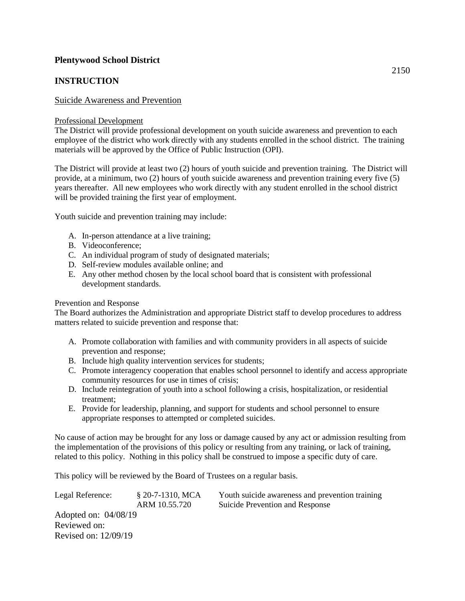# **INSTRUCTION**

### Suicide Awareness and Prevention

#### Professional Development

The District will provide professional development on youth suicide awareness and prevention to each employee of the district who work directly with any students enrolled in the school district. The training materials will be approved by the Office of Public Instruction (OPI).

The District will provide at least two (2) hours of youth suicide and prevention training. The District will provide, at a minimum, two (2) hours of youth suicide awareness and prevention training every five (5) years thereafter. All new employees who work directly with any student enrolled in the school district will be provided training the first year of employment.

Youth suicide and prevention training may include:

- A. In-person attendance at a live training;
- B. Videoconference;
- C. An individual program of study of designated materials;
- D. Self-review modules available online; and
- E. Any other method chosen by the local school board that is consistent with professional development standards.

#### Prevention and Response

The Board authorizes the Administration and appropriate District staff to develop procedures to address matters related to suicide prevention and response that:

- A. Promote collaboration with families and with community providers in all aspects of suicide prevention and response;
- B. Include high quality intervention services for students;
- C. Promote interagency cooperation that enables school personnel to identify and access appropriate community resources for use in times of crisis;
- D. Include reintegration of youth into a school following a crisis, hospitalization, or residential treatment;
- E. Provide for leadership, planning, and support for students and school personnel to ensure appropriate responses to attempted or completed suicides.

No cause of action may be brought for any loss or damage caused by any act or admission resulting from the implementation of the provisions of this policy or resulting from any training, or lack of training, related to this policy. Nothing in this policy shall be construed to impose a specific duty of care.

This policy will be reviewed by the Board of Trustees on a regular basis.

| Legal Reference:       | $$20-7-1310, MCA$<br>ARM 10.55.720 | Youth suicide awareness and prevention training<br>Suicide Prevention and Response |
|------------------------|------------------------------------|------------------------------------------------------------------------------------|
| Adopted on: $04/08/19$ |                                    |                                                                                    |
| Reviewed on:           |                                    |                                                                                    |
| Revised on: 12/09/19   |                                    |                                                                                    |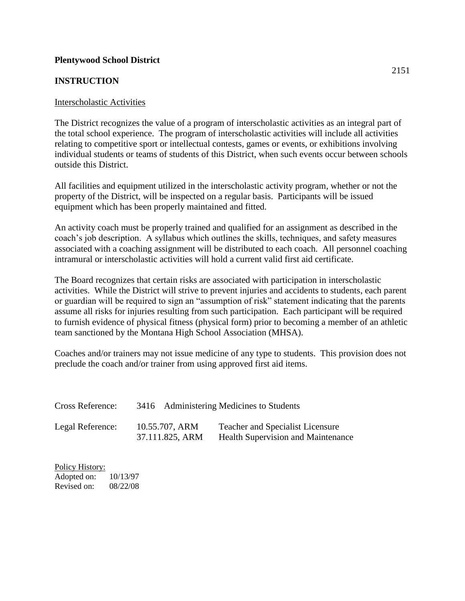### **INSTRUCTION**

#### Interscholastic Activities

The District recognizes the value of a program of interscholastic activities as an integral part of the total school experience. The program of interscholastic activities will include all activities relating to competitive sport or intellectual contests, games or events, or exhibitions involving individual students or teams of students of this District, when such events occur between schools outside this District.

All facilities and equipment utilized in the interscholastic activity program, whether or not the property of the District, will be inspected on a regular basis. Participants will be issued equipment which has been properly maintained and fitted.

An activity coach must be properly trained and qualified for an assignment as described in the coach's job description. A syllabus which outlines the skills, techniques, and safety measures associated with a coaching assignment will be distributed to each coach. All personnel coaching intramural or interscholastic activities will hold a current valid first aid certificate.

The Board recognizes that certain risks are associated with participation in interscholastic activities. While the District will strive to prevent injuries and accidents to students, each parent or guardian will be required to sign an "assumption of risk" statement indicating that the parents assume all risks for injuries resulting from such participation. Each participant will be required to furnish evidence of physical fitness (physical form) prior to becoming a member of an athletic team sanctioned by the Montana High School Association (MHSA).

Coaches and/or trainers may not issue medicine of any type to students. This provision does not preclude the coach and/or trainer from using approved first aid items.

| <b>Cross Reference:</b> |                                   | 3416 Administering Medicines to Students                                             |
|-------------------------|-----------------------------------|--------------------------------------------------------------------------------------|
| Legal Reference:        | 10.55.707, ARM<br>37.111.825, ARM | <b>Teacher and Specialist Licensure</b><br><b>Health Supervision and Maintenance</b> |

Policy History: Adopted on: 10/13/97 Revised on: 08/22/08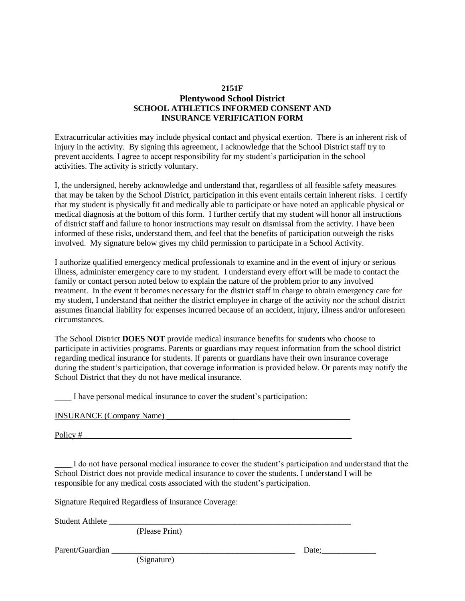#### **2151F Plentywood School District SCHOOL ATHLETICS INFORMED CONSENT AND INSURANCE VERIFICATION FORM**

Extracurricular activities may include physical contact and physical exertion. There is an inherent risk of injury in the activity. By signing this agreement, I acknowledge that the School District staff try to prevent accidents. I agree to accept responsibility for my student's participation in the school activities. The activity is strictly voluntary.

I, the undersigned, hereby acknowledge and understand that, regardless of all feasible safety measures that may be taken by the School District, participation in this event entails certain inherent risks. I certify that my student is physically fit and medically able to participate or have noted an applicable physical or medical diagnosis at the bottom of this form. I further certify that my student will honor all instructions of district staff and failure to honor instructions may result on dismissal from the activity. I have been informed of these risks, understand them, and feel that the benefits of participation outweigh the risks involved. My signature below gives my child permission to participate in a School Activity.

I authorize qualified emergency medical professionals to examine and in the event of injury or serious illness, administer emergency care to my student. I understand every effort will be made to contact the family or contact person noted below to explain the nature of the problem prior to any involved treatment. In the event it becomes necessary for the district staff in charge to obtain emergency care for my student, I understand that neither the district employee in charge of the activity nor the school district assumes financial liability for expenses incurred because of an accident, injury, illness and/or unforeseen circumstances.

The School District **DOES NOT** provide medical insurance benefits for students who choose to participate in activities programs. Parents or guardians may request information from the school district regarding medical insurance for students. If parents or guardians have their own insurance coverage during the student's participation, that coverage information is provided below. Or parents may notify the School District that they do not have medical insurance.

I have personal medical insurance to cover the student's participation:

| <b>INSURANCE</b> (Company Name) |  |
|---------------------------------|--|
|                                 |  |

Policy  $\#$ 

\_\_\_\_ I do not have personal medical insurance to cover the student's participation and understand that the School District does not provide medical insurance to cover the students. I understand I will be responsible for any medical costs associated with the student's participation.

Signature Required Regardless of Insurance Coverage:

Student Athlete

(Please Print)

Parent/Guardian \_\_\_\_\_\_\_\_\_\_\_\_\_\_\_\_\_\_\_\_\_\_\_\_\_\_\_\_\_\_\_\_\_\_\_\_\_\_\_\_\_\_\_\_ Date;\_\_\_\_\_\_\_\_\_\_\_\_\_

(Signature)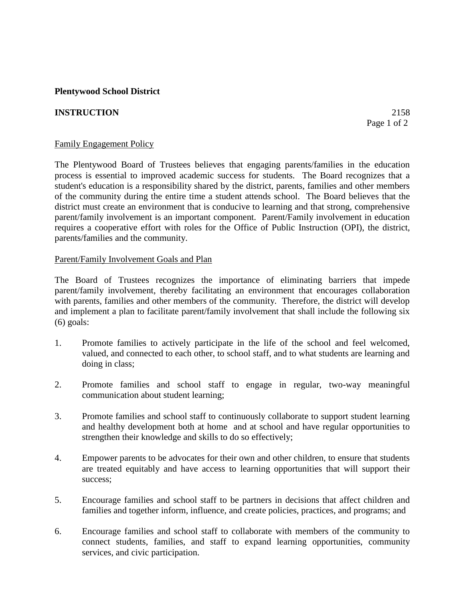# **INSTRUCTION** 2158

Page 1 of 2

### Family Engagement Policy

The Plentywood Board of Trustees believes that engaging parents/families in the education process is essential to improved academic success for students. The Board recognizes that a student's education is a responsibility shared by the district, parents, families and other members of the community during the entire time a student attends school. The Board believes that the district must create an environment that is conducive to learning and that strong, comprehensive parent/family involvement is an important component. Parent/Family involvement in education requires a cooperative effort with roles for the Office of Public Instruction (OPI), the district, parents/families and the community.

### Parent/Family Involvement Goals and Plan

The Board of Trustees recognizes the importance of eliminating barriers that impede parent/family involvement, thereby facilitating an environment that encourages collaboration with parents, families and other members of the community. Therefore, the district will develop and implement a plan to facilitate parent/family involvement that shall include the following six (6) goals:

- 1. Promote families to actively participate in the life of the school and feel welcomed, valued, and connected to each other, to school staff, and to what students are learning and doing in class;
- 2. Promote families and school staff to engage in regular, two-way meaningful communication about student learning;
- 3. Promote families and school staff to continuously collaborate to support student learning and healthy development both at home and at school and have regular opportunities to strengthen their knowledge and skills to do so effectively;
- 4. Empower parents to be advocates for their own and other children, to ensure that students are treated equitably and have access to learning opportunities that will support their success;
- 5. Encourage families and school staff to be partners in decisions that affect children and families and together inform, influence, and create policies, practices, and programs; and
- 6. Encourage families and school staff to collaborate with members of the community to connect students, families, and staff to expand learning opportunities, community services, and civic participation.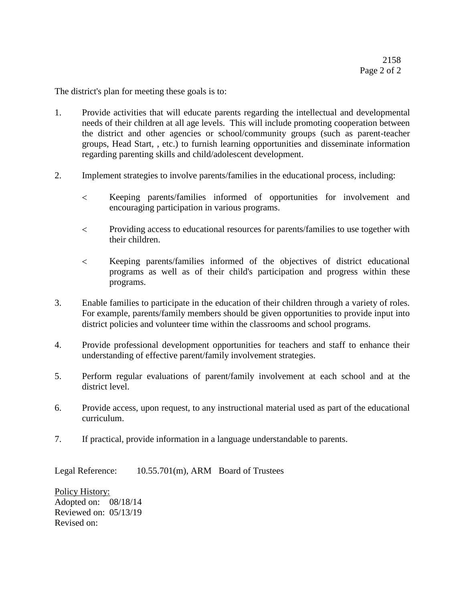The district's plan for meeting these goals is to:

- 1. Provide activities that will educate parents regarding the intellectual and developmental needs of their children at all age levels. This will include promoting cooperation between the district and other agencies or school/community groups (such as parent-teacher groups, Head Start, , etc.) to furnish learning opportunities and disseminate information regarding parenting skills and child/adolescent development.
- 2. Implement strategies to involve parents/families in the educational process, including:
	- Keeping parents/families informed of opportunities for involvement and encouraging participation in various programs.
	- Providing access to educational resources for parents/families to use together with their children.
	- Keeping parents/families informed of the objectives of district educational programs as well as of their child's participation and progress within these programs.
- 3. Enable families to participate in the education of their children through a variety of roles. For example, parents/family members should be given opportunities to provide input into district policies and volunteer time within the classrooms and school programs.
- 4. Provide professional development opportunities for teachers and staff to enhance their understanding of effective parent/family involvement strategies.
- 5. Perform regular evaluations of parent/family involvement at each school and at the district level.
- 6. Provide access, upon request, to any instructional material used as part of the educational curriculum.
- 7. If practical, provide information in a language understandable to parents.

Legal Reference: 10.55.701(m), ARM Board of Trustees

Policy History: Adopted on: 08/18/14 Reviewed on: 05/13/19 Revised on: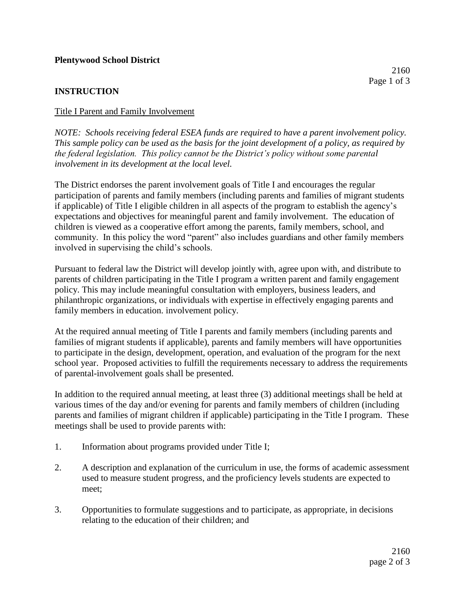# **INSTRUCTION**

## Title I Parent and Family Involvement

*NOTE: Schools receiving federal ESEA funds are required to have a parent involvement policy. This sample policy can be used as the basis for the joint development of a policy, as required by the federal legislation. This policy cannot be the District's policy without some parental involvement in its development at the local level.*

The District endorses the parent involvement goals of Title I and encourages the regular participation of parents and family members (including parents and families of migrant students if applicable) of Title I eligible children in all aspects of the program to establish the agency's expectations and objectives for meaningful parent and family involvement. The education of children is viewed as a cooperative effort among the parents, family members, school, and community. In this policy the word "parent" also includes guardians and other family members involved in supervising the child's schools.

Pursuant to federal law the District will develop jointly with, agree upon with, and distribute to parents of children participating in the Title I program a written parent and family engagement policy. This may include meaningful consultation with employers, business leaders, and philanthropic organizations, or individuals with expertise in effectively engaging parents and family members in education. involvement policy.

At the required annual meeting of Title I parents and family members (including parents and families of migrant students if applicable), parents and family members will have opportunities to participate in the design, development, operation, and evaluation of the program for the next school year. Proposed activities to fulfill the requirements necessary to address the requirements of parental-involvement goals shall be presented.

In addition to the required annual meeting, at least three (3) additional meetings shall be held at various times of the day and/or evening for parents and family members of children (including parents and families of migrant children if applicable) participating in the Title I program. These meetings shall be used to provide parents with:

- 1. Information about programs provided under Title I;
- 2. A description and explanation of the curriculum in use, the forms of academic assessment used to measure student progress, and the proficiency levels students are expected to meet;
- 3. Opportunities to formulate suggestions and to participate, as appropriate, in decisions relating to the education of their children; and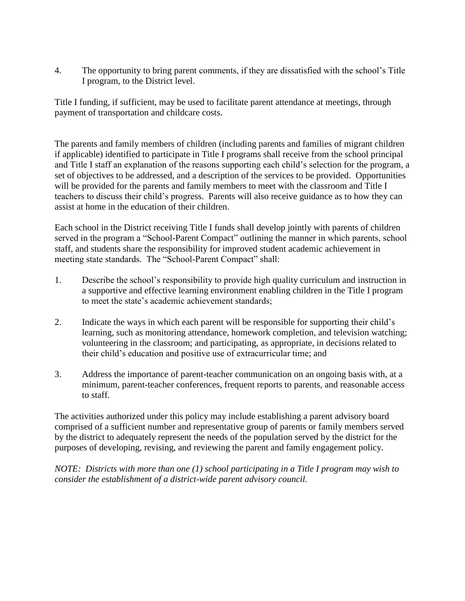4. The opportunity to bring parent comments, if they are dissatisfied with the school's Title I program, to the District level.

Title I funding, if sufficient, may be used to facilitate parent attendance at meetings, through payment of transportation and childcare costs.

The parents and family members of children (including parents and families of migrant children if applicable) identified to participate in Title I programs shall receive from the school principal and Title I staff an explanation of the reasons supporting each child's selection for the program, a set of objectives to be addressed, and a description of the services to be provided. Opportunities will be provided for the parents and family members to meet with the classroom and Title I teachers to discuss their child's progress. Parents will also receive guidance as to how they can assist at home in the education of their children.

Each school in the District receiving Title I funds shall develop jointly with parents of children served in the program a "School-Parent Compact" outlining the manner in which parents, school staff, and students share the responsibility for improved student academic achievement in meeting state standards. The "School-Parent Compact" shall:

- 1. Describe the school's responsibility to provide high quality curriculum and instruction in a supportive and effective learning environment enabling children in the Title I program to meet the state's academic achievement standards;
- 2. Indicate the ways in which each parent will be responsible for supporting their child's learning, such as monitoring attendance, homework completion, and television watching; volunteering in the classroom; and participating, as appropriate, in decisions related to their child's education and positive use of extracurricular time; and
- 3. Address the importance of parent-teacher communication on an ongoing basis with, at a minimum, parent-teacher conferences, frequent reports to parents, and reasonable access to staff.

The activities authorized under this policy may include establishing a parent advisory board comprised of a sufficient number and representative group of parents or family members served by the district to adequately represent the needs of the population served by the district for the purposes of developing, revising, and reviewing the parent and family engagement policy.

*NOTE: Districts with more than one (1) school participating in a Title I program may wish to consider the establishment of a district-wide parent advisory council.*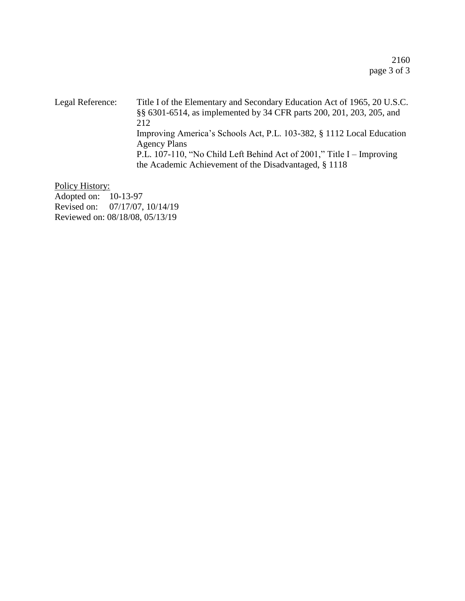2160 page 3 of 3

Legal Reference: Title I of the Elementary and Secondary Education Act of 1965, 20 U.S.C. §§ 6301-6514, as implemented by 34 CFR parts 200, 201, 203, 205, and 212 Improving America's Schools Act, P.L. 103-382, § 1112 Local Education Agency Plans P.L. 107-110, "No Child Left Behind Act of 2001," Title I – Improving the Academic Achievement of the Disadvantaged, § 1118

Policy History:

Adopted on: 10-13-97 Revised on: 07/17/07, 10/14/19 Reviewed on: 08/18/08, 05/13/19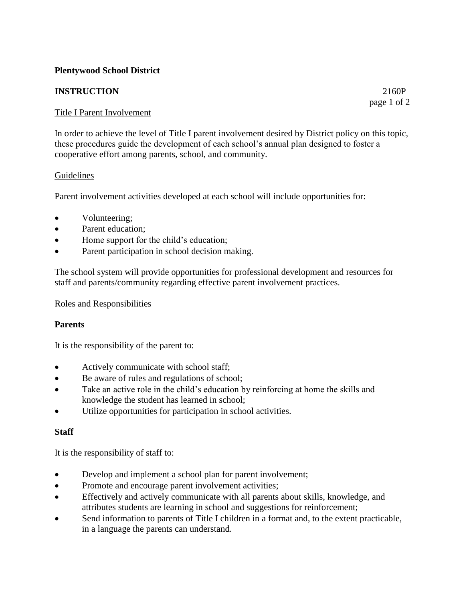# **INSTRUCTION** 2160P

page 1 of 2

# Title I Parent Involvement

In order to achieve the level of Title I parent involvement desired by District policy on this topic, these procedures guide the development of each school's annual plan designed to foster a cooperative effort among parents, school, and community.

# Guidelines

Parent involvement activities developed at each school will include opportunities for:

- Volunteering;
- Parent education;
- Home support for the child's education;
- Parent participation in school decision making.

The school system will provide opportunities for professional development and resources for staff and parents/community regarding effective parent involvement practices.

### Roles and Responsibilities

### **Parents**

It is the responsibility of the parent to:

- Actively communicate with school staff;
- Be aware of rules and regulations of school;
- Take an active role in the child's education by reinforcing at home the skills and knowledge the student has learned in school;
- Utilize opportunities for participation in school activities.

### **Staff**

It is the responsibility of staff to:

- Develop and implement a school plan for parent involvement;
- Promote and encourage parent involvement activities;
- Effectively and actively communicate with all parents about skills, knowledge, and attributes students are learning in school and suggestions for reinforcement;
- Send information to parents of Title I children in a format and, to the extent practicable, in a language the parents can understand.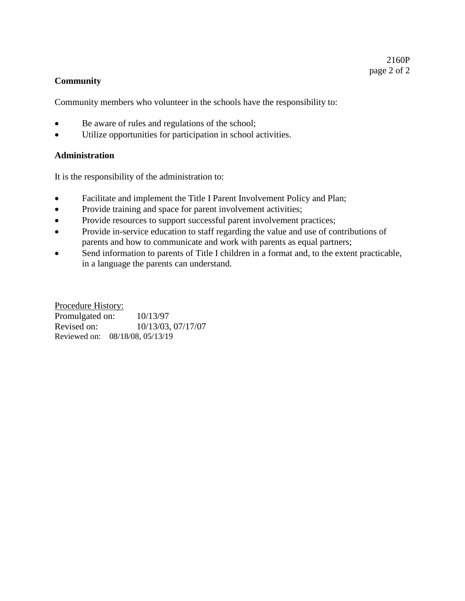# **Community**

Community members who volunteer in the schools have the responsibility to:

- Be aware of rules and regulations of the school;
- Utilize opportunities for participation in school activities.

# **Administration**

It is the responsibility of the administration to:

- Facilitate and implement the Title I Parent Involvement Policy and Plan;
- Provide training and space for parent involvement activities;
- Provide resources to support successful parent involvement practices;
- Provide in-service education to staff regarding the value and use of contributions of parents and how to communicate and work with parents as equal partners;
- Send information to parents of Title I children in a format and, to the extent practicable, in a language the parents can understand.

Procedure History: Promulgated on: 10/13/97 Revised on: 10/13/03, 07/17/07 Reviewed on: 08/18/08, 05/13/19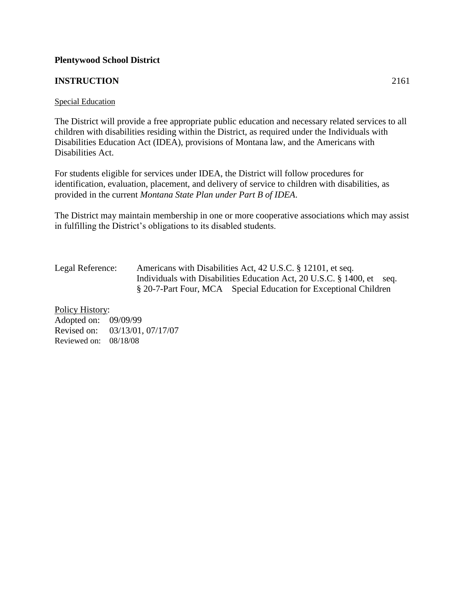## **INSTRUCTION** 2161

The District will provide a free appropriate public education and necessary related services to all children with disabilities residing within the District, as required under the Individuals with Disabilities Education Act (IDEA), provisions of Montana law, and the Americans with Disabilities Act.

For students eligible for services under IDEA, the District will follow procedures for identification, evaluation, placement, and delivery of service to children with disabilities, as provided in the current *Montana State Plan under Part B of IDEA*.

The District may maintain membership in one or more cooperative associations which may assist in fulfilling the District's obligations to its disabled students.

Legal Reference: Americans with Disabilities Act, 42 U.S.C. § 12101, et seq. Individuals with Disabilities Education Act, 20 U.S.C. § 1400, et seq. § 20-7-Part Four, MCA Special Education for Exceptional Children

Policy History: Adopted on: 09/09/99 Revised on: 03/13/01, 07/17/07 Reviewed on: 08/18/08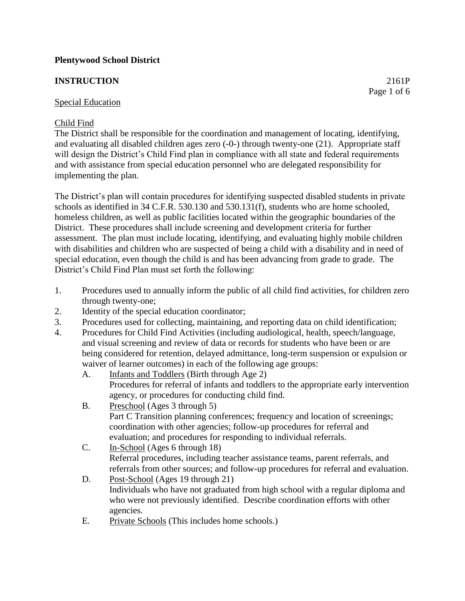# **INSTRUCTION** 2161P

## Special Education

# Child Find

The District shall be responsible for the coordination and management of locating, identifying, and evaluating all disabled children ages zero (-0-) through twenty-one (21). Appropriate staff will design the District's Child Find plan in compliance with all state and federal requirements and with assistance from special education personnel who are delegated responsibility for implementing the plan.

The District's plan will contain procedures for identifying suspected disabled students in private schools as identified in 34 C.F.R. 530.130 and 530.131(f), students who are home schooled, homeless children, as well as public facilities located within the geographic boundaries of the District. These procedures shall include screening and development criteria for further assessment. The plan must include locating, identifying, and evaluating highly mobile children with disabilities and children who are suspected of being a child with a disability and in need of special education, even though the child is and has been advancing from grade to grade. The District's Child Find Plan must set forth the following:

- 1. Procedures used to annually inform the public of all child find activities, for children zero through twenty-one;
- 2. Identity of the special education coordinator;
- 3. Procedures used for collecting, maintaining, and reporting data on child identification;
- 4. Procedures for Child Find Activities (including audiological, health, speech/language, and visual screening and review of data or records for students who have been or are being considered for retention, delayed admittance, long-term suspension or expulsion or waiver of learner outcomes) in each of the following age groups:
	- A. Infants and Toddlers (Birth through Age 2) Procedures for referral of infants and toddlers to the appropriate early intervention agency, or procedures for conducting child find.
	- B. Preschool (Ages 3 through 5) Part C Transition planning conferences; frequency and location of screenings; coordination with other agencies; follow-up procedures for referral and evaluation; and procedures for responding to individual referrals.
	- C. In-School (Ages 6 through 18) Referral procedures, including teacher assistance teams, parent referrals, and referrals from other sources; and follow-up procedures for referral and evaluation.
	- D. Post-School (Ages 19 through 21) Individuals who have not graduated from high school with a regular diploma and who were not previously identified. Describe coordination efforts with other agencies.
	- E. Private Schools (This includes home schools.)

Page 1 of 6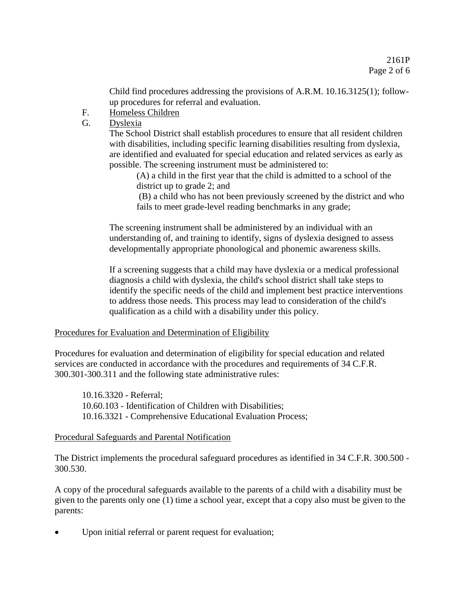Child find procedures addressing the provisions of A.R.M. 10.16.3125(1); followup procedures for referral and evaluation.

- F. Homeless Children
- G. Dyslexia

The School District shall establish procedures to ensure that all resident children with disabilities, including specific learning disabilities resulting from dyslexia, are identified and evaluated for special education and related services as early as possible. The screening instrument must be administered to:

(A) a child in the first year that the child is admitted to a school of the district up to grade 2; and

(B) a child who has not been previously screened by the district and who fails to meet grade-level reading benchmarks in any grade;

The screening instrument shall be administered by an individual with an understanding of, and training to identify, signs of dyslexia designed to assess developmentally appropriate phonological and phonemic awareness skills.

If a screening suggests that a child may have dyslexia or a medical professional diagnosis a child with dyslexia, the child's school district shall take steps to identify the specific needs of the child and implement best practice interventions to address those needs. This process may lead to consideration of the child's qualification as a child with a disability under this policy.

### Procedures for Evaluation and Determination of Eligibility

Procedures for evaluation and determination of eligibility for special education and related services are conducted in accordance with the procedures and requirements of 34 C.F.R. 300.301-300.311 and the following state administrative rules:

10.16.3320 - Referral; 10.60.103 - Identification of Children with Disabilities; 10.16.3321 - Comprehensive Educational Evaluation Process;

# Procedural Safeguards and Parental Notification

The District implements the procedural safeguard procedures as identified in 34 C.F.R. 300.500 - 300.530.

A copy of the procedural safeguards available to the parents of a child with a disability must be given to the parents only one (1) time a school year, except that a copy also must be given to the parents:

Upon initial referral or parent request for evaluation;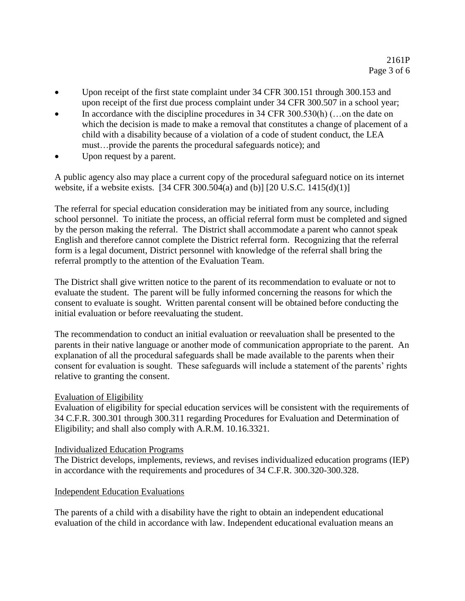- Upon receipt of the first state complaint under 34 CFR 300.151 through 300.153 and upon receipt of the first due process complaint under 34 CFR 300.507 in a school year;
- In accordance with the discipline procedures in 34 CFR 300.530(h)  $(...$  on the date on which the decision is made to make a removal that constitutes a change of placement of a child with a disability because of a violation of a code of student conduct, the LEA must…provide the parents the procedural safeguards notice); and
- Upon request by a parent.

A public agency also may place a current copy of the procedural safeguard notice on its internet website, if a website exists. [34 CFR 300.504(a) and (b)] [20 U.S.C. 1415(d)(1)]

The referral for special education consideration may be initiated from any source, including school personnel. To initiate the process, an official referral form must be completed and signed by the person making the referral. The District shall accommodate a parent who cannot speak English and therefore cannot complete the District referral form. Recognizing that the referral form is a legal document, District personnel with knowledge of the referral shall bring the referral promptly to the attention of the Evaluation Team.

The District shall give written notice to the parent of its recommendation to evaluate or not to evaluate the student. The parent will be fully informed concerning the reasons for which the consent to evaluate is sought. Written parental consent will be obtained before conducting the initial evaluation or before reevaluating the student.

The recommendation to conduct an initial evaluation or reevaluation shall be presented to the parents in their native language or another mode of communication appropriate to the parent. An explanation of all the procedural safeguards shall be made available to the parents when their consent for evaluation is sought. These safeguards will include a statement of the parents' rights relative to granting the consent.

# Evaluation of Eligibility

Evaluation of eligibility for special education services will be consistent with the requirements of 34 C.F.R. 300.301 through 300.311 regarding Procedures for Evaluation and Determination of Eligibility; and shall also comply with A.R.M. 10.16.3321.

# Individualized Education Programs

The District develops, implements, reviews, and revises individualized education programs (IEP) in accordance with the requirements and procedures of 34 C.F.R. 300.320-300.328.

# Independent Education Evaluations

The parents of a child with a disability have the right to obtain an independent educational evaluation of the child in accordance with law. Independent educational evaluation means an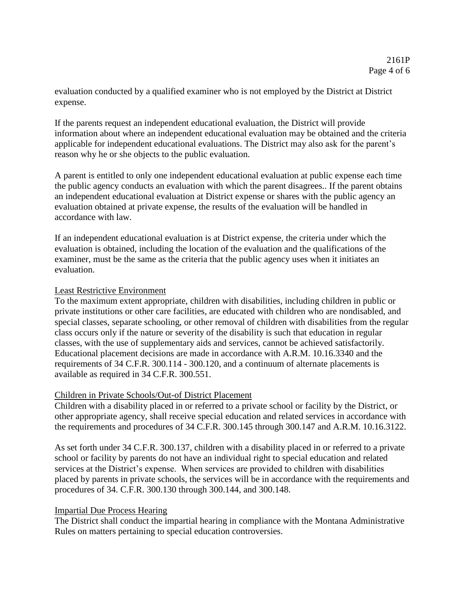evaluation conducted by a qualified examiner who is not employed by the District at District expense.

If the parents request an independent educational evaluation, the District will provide information about where an independent educational evaluation may be obtained and the criteria applicable for independent educational evaluations. The District may also ask for the parent's reason why he or she objects to the public evaluation.

A parent is entitled to only one independent educational evaluation at public expense each time the public agency conducts an evaluation with which the parent disagrees.. If the parent obtains an independent educational evaluation at District expense or shares with the public agency an evaluation obtained at private expense, the results of the evaluation will be handled in accordance with law.

If an independent educational evaluation is at District expense, the criteria under which the evaluation is obtained, including the location of the evaluation and the qualifications of the examiner, must be the same as the criteria that the public agency uses when it initiates an evaluation.

### Least Restrictive Environment

To the maximum extent appropriate, children with disabilities, including children in public or private institutions or other care facilities, are educated with children who are nondisabled, and special classes, separate schooling, or other removal of children with disabilities from the regular class occurs only if the nature or severity of the disability is such that education in regular classes, with the use of supplementary aids and services, cannot be achieved satisfactorily. Educational placement decisions are made in accordance with A.R.M. 10.16.3340 and the requirements of 34 C.F.R. 300.114 - 300.120, and a continuum of alternate placements is available as required in 34 C.F.R. 300.551.

### Children in Private Schools/Out-of District Placement

Children with a disability placed in or referred to a private school or facility by the District, or other appropriate agency, shall receive special education and related services in accordance with the requirements and procedures of 34 C.F.R. 300.145 through 300.147 and A.R.M. 10.16.3122.

As set forth under 34 C.F.R. 300.137, children with a disability placed in or referred to a private school or facility by parents do not have an individual right to special education and related services at the District's expense. When services are provided to children with disabilities placed by parents in private schools, the services will be in accordance with the requirements and procedures of 34. C.F.R. 300.130 through 300.144, and 300.148.

### Impartial Due Process Hearing

The District shall conduct the impartial hearing in compliance with the Montana Administrative Rules on matters pertaining to special education controversies.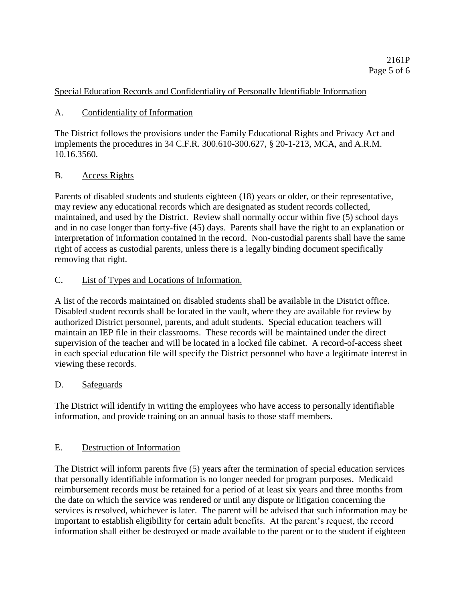# Special Education Records and Confidentiality of Personally Identifiable Information

# A. Confidentiality of Information

The District follows the provisions under the Family Educational Rights and Privacy Act and implements the procedures in 34 C.F.R. 300.610-300.627, § 20-1-213, MCA, and A.R.M. 10.16.3560.

# B. Access Rights

Parents of disabled students and students eighteen (18) years or older, or their representative, may review any educational records which are designated as student records collected, maintained, and used by the District. Review shall normally occur within five (5) school days and in no case longer than forty-five (45) days. Parents shall have the right to an explanation or interpretation of information contained in the record. Non-custodial parents shall have the same right of access as custodial parents, unless there is a legally binding document specifically removing that right.

# C. List of Types and Locations of Information.

A list of the records maintained on disabled students shall be available in the District office. Disabled student records shall be located in the vault, where they are available for review by authorized District personnel, parents, and adult students. Special education teachers will maintain an IEP file in their classrooms. These records will be maintained under the direct supervision of the teacher and will be located in a locked file cabinet. A record-of-access sheet in each special education file will specify the District personnel who have a legitimate interest in viewing these records.

### D. Safeguards

The District will identify in writing the employees who have access to personally identifiable information, and provide training on an annual basis to those staff members.

### E. Destruction of Information

The District will inform parents five (5) years after the termination of special education services that personally identifiable information is no longer needed for program purposes. Medicaid reimbursement records must be retained for a period of at least six years and three months from the date on which the service was rendered or until any dispute or litigation concerning the services is resolved, whichever is later. The parent will be advised that such information may be important to establish eligibility for certain adult benefits. At the parent's request, the record information shall either be destroyed or made available to the parent or to the student if eighteen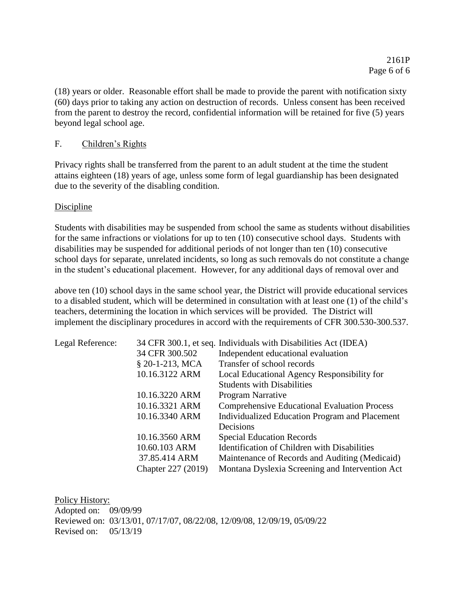(18) years or older. Reasonable effort shall be made to provide the parent with notification sixty (60) days prior to taking any action on destruction of records. Unless consent has been received from the parent to destroy the record, confidential information will be retained for five (5) years beyond legal school age.

# F. Children's Rights

Privacy rights shall be transferred from the parent to an adult student at the time the student attains eighteen (18) years of age, unless some form of legal guardianship has been designated due to the severity of the disabling condition.

# **Discipline**

Students with disabilities may be suspended from school the same as students without disabilities for the same infractions or violations for up to ten (10) consecutive school days. Students with disabilities may be suspended for additional periods of not longer than ten (10) consecutive school days for separate, unrelated incidents, so long as such removals do not constitute a change in the student's educational placement. However, for any additional days of removal over and

above ten (10) school days in the same school year, the District will provide educational services to a disabled student, which will be determined in consultation with at least one (1) of the child's teachers, determining the location in which services will be provided. The District will implement the disciplinary procedures in accord with the requirements of CFR 300.530-300.537.

| Legal Reference: |                    | 34 CFR 300.1, et seq. Individuals with Disabilities Act (IDEA) |
|------------------|--------------------|----------------------------------------------------------------|
|                  | 34 CFR 300.502     | Independent educational evaluation                             |
|                  | $$20-1-213$ , MCA  | Transfer of school records                                     |
|                  | 10.16.3122 ARM     | Local Educational Agency Responsibility for                    |
|                  |                    | <b>Students with Disabilities</b>                              |
|                  | 10.16.3220 ARM     | <b>Program Narrative</b>                                       |
|                  | 10.16.3321 ARM     | <b>Comprehensive Educational Evaluation Process</b>            |
|                  | 10.16.3340 ARM     | Individualized Education Program and Placement                 |
|                  |                    | Decisions                                                      |
|                  | 10.16.3560 ARM     | <b>Special Education Records</b>                               |
|                  | 10.60.103 ARM      | <b>Identification of Children with Disabilities</b>            |
|                  | 37.85.414 ARM      | Maintenance of Records and Auditing (Medicaid)                 |
|                  | Chapter 227 (2019) | Montana Dyslexia Screening and Intervention Act                |

Policy History: Adopted on: 09/09/99 Reviewed on: 03/13/01, 07/17/07, 08/22/08, 12/09/08, 12/09/19, 05/09/22 Revised on: 05/13/19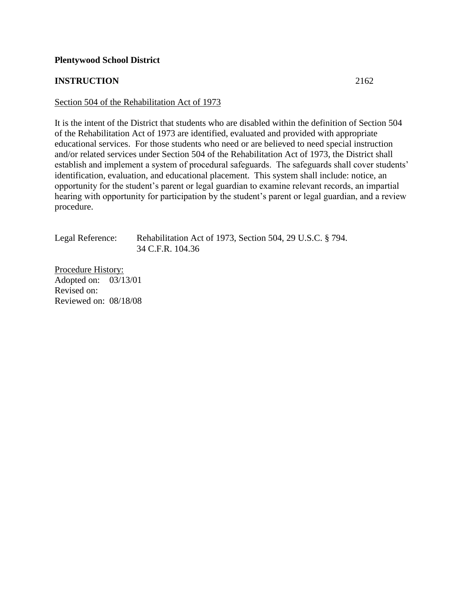# **INSTRUCTION** 2162

### Section 504 of the Rehabilitation Act of 1973

It is the intent of the District that students who are disabled within the definition of Section 504 of the Rehabilitation Act of 1973 are identified, evaluated and provided with appropriate educational services. For those students who need or are believed to need special instruction and/or related services under Section 504 of the Rehabilitation Act of 1973, the District shall establish and implement a system of procedural safeguards. The safeguards shall cover students' identification, evaluation, and educational placement. This system shall include: notice, an opportunity for the student's parent or legal guardian to examine relevant records, an impartial hearing with opportunity for participation by the student's parent or legal guardian, and a review procedure.

Legal Reference: Rehabilitation Act of 1973, Section 504, 29 U.S.C. § 794. 34 C.F.R. 104.36

Procedure History: Adopted on: 03/13/01 Revised on: Reviewed on: 08/18/08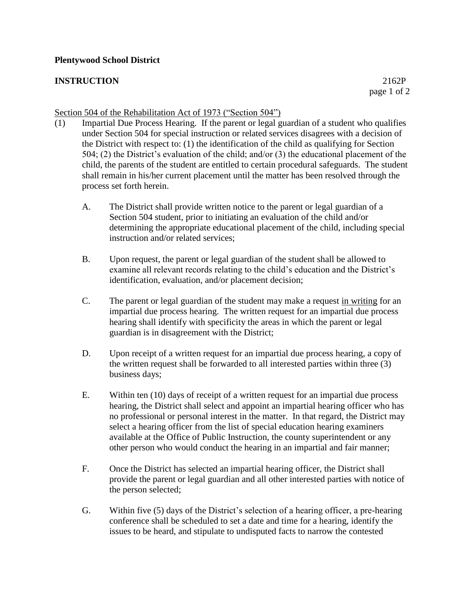# **INSTRUCTION** 2162P

# Section 504 of the Rehabilitation Act of 1973 ("Section 504")

- (1) Impartial Due Process Hearing. If the parent or legal guardian of a student who qualifies under Section 504 for special instruction or related services disagrees with a decision of the District with respect to: (1) the identification of the child as qualifying for Section 504; (2) the District's evaluation of the child; and/or (3) the educational placement of the child, the parents of the student are entitled to certain procedural safeguards. The student shall remain in his/her current placement until the matter has been resolved through the process set forth herein.
	- A. The District shall provide written notice to the parent or legal guardian of a Section 504 student, prior to initiating an evaluation of the child and/or determining the appropriate educational placement of the child, including special instruction and/or related services;
	- B. Upon request, the parent or legal guardian of the student shall be allowed to examine all relevant records relating to the child's education and the District's identification, evaluation, and/or placement decision;
	- C. The parent or legal guardian of the student may make a request in writing for an impartial due process hearing. The written request for an impartial due process hearing shall identify with specificity the areas in which the parent or legal guardian is in disagreement with the District;
	- D. Upon receipt of a written request for an impartial due process hearing, a copy of the written request shall be forwarded to all interested parties within three (3) business days;
	- E. Within ten (10) days of receipt of a written request for an impartial due process hearing, the District shall select and appoint an impartial hearing officer who has no professional or personal interest in the matter. In that regard, the District may select a hearing officer from the list of special education hearing examiners available at the Office of Public Instruction, the county superintendent or any other person who would conduct the hearing in an impartial and fair manner;
	- F. Once the District has selected an impartial hearing officer, the District shall provide the parent or legal guardian and all other interested parties with notice of the person selected;
	- G. Within five (5) days of the District's selection of a hearing officer, a pre-hearing conference shall be scheduled to set a date and time for a hearing, identify the issues to be heard, and stipulate to undisputed facts to narrow the contested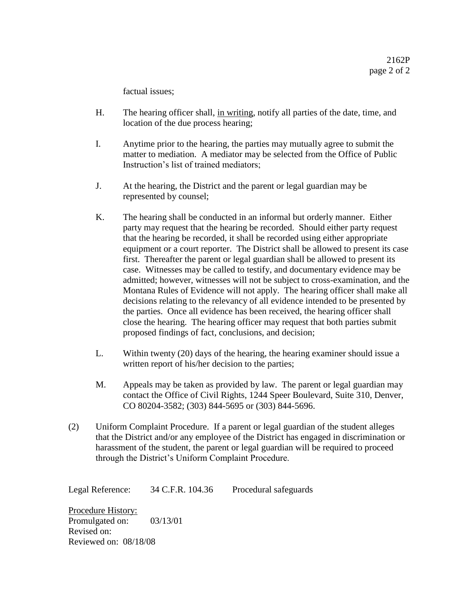factual issues;

- H. The hearing officer shall, in writing, notify all parties of the date, time, and location of the due process hearing;
- I. Anytime prior to the hearing, the parties may mutually agree to submit the matter to mediation. A mediator may be selected from the Office of Public Instruction's list of trained mediators;
- J. At the hearing, the District and the parent or legal guardian may be represented by counsel;
- K. The hearing shall be conducted in an informal but orderly manner. Either party may request that the hearing be recorded. Should either party request that the hearing be recorded, it shall be recorded using either appropriate equipment or a court reporter. The District shall be allowed to present its case first. Thereafter the parent or legal guardian shall be allowed to present its case. Witnesses may be called to testify, and documentary evidence may be admitted; however, witnesses will not be subject to cross-examination, and the Montana Rules of Evidence will not apply. The hearing officer shall make all decisions relating to the relevancy of all evidence intended to be presented by the parties. Once all evidence has been received, the hearing officer shall close the hearing. The hearing officer may request that both parties submit proposed findings of fact, conclusions, and decision;
- L. Within twenty (20) days of the hearing, the hearing examiner should issue a written report of his/her decision to the parties;
- M. Appeals may be taken as provided by law. The parent or legal guardian may contact the Office of Civil Rights, 1244 Speer Boulevard, Suite 310, Denver, CO 80204-3582; (303) 844-5695 or (303) 844-5696.
- (2) Uniform Complaint Procedure. If a parent or legal guardian of the student alleges that the District and/or any employee of the District has engaged in discrimination or harassment of the student, the parent or legal guardian will be required to proceed through the District's Uniform Complaint Procedure.

Legal Reference: 34 C.F.R. 104.36 Procedural safeguards

Procedure History: Promulgated on: 03/13/01 Revised on: Reviewed on: 08/18/08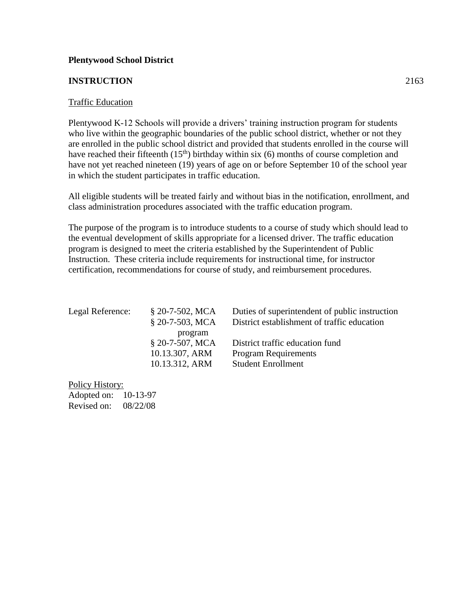### **INSTRUCTION** 2163

#### Traffic Education

Plentywood K-12 Schools will provide a drivers' training instruction program for students who live within the geographic boundaries of the public school district, whether or not they are enrolled in the public school district and provided that students enrolled in the course will have reached their fifteenth  $(15<sup>th</sup>)$  birthday within six (6) months of course completion and have not yet reached nineteen (19) years of age on or before September 10 of the school year in which the student participates in traffic education.

All eligible students will be treated fairly and without bias in the notification, enrollment, and class administration procedures associated with the traffic education program.

The purpose of the program is to introduce students to a course of study which should lead to the eventual development of skills appropriate for a licensed driver. The traffic education program is designed to meet the criteria established by the Superintendent of Public Instruction. These criteria include requirements for instructional time, for instructor certification, recommendations for course of study, and reimbursement procedures.

| Legal Reference: | $$20-7-502, MCA$<br>$$20-7-503$ , MCA | Duties of superintendent of public instruction<br>District establishment of traffic education |
|------------------|---------------------------------------|-----------------------------------------------------------------------------------------------|
|                  | program                               |                                                                                               |
|                  | $$20-7-507$ , MCA                     | District traffic education fund                                                               |
|                  | 10.13.307, ARM                        | <b>Program Requirements</b>                                                                   |
|                  | 10.13.312, ARM                        | <b>Student Enrollment</b>                                                                     |
|                  |                                       |                                                                                               |

Policy History: Adopted on: 10-13-97 Revised on: 08/22/08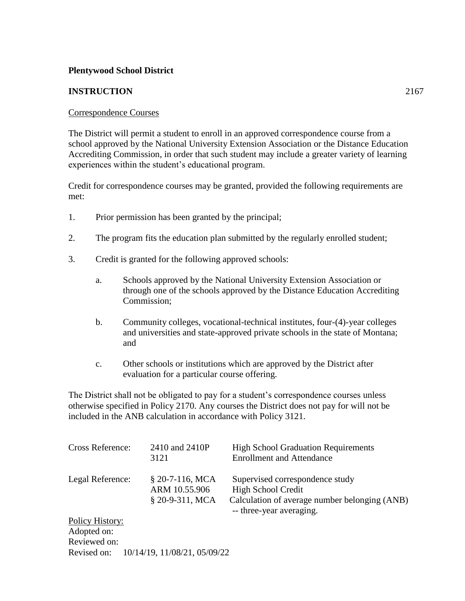# **INSTRUCTION** 2167

# Correspondence Courses

The District will permit a student to enroll in an approved correspondence course from a school approved by the National University Extension Association or the Distance Education Accrediting Commission, in order that such student may include a greater variety of learning experiences within the student's educational program.

Credit for correspondence courses may be granted, provided the following requirements are met:

- 1. Prior permission has been granted by the principal;
- 2. The program fits the education plan submitted by the regularly enrolled student;
- 3. Credit is granted for the following approved schools:
	- a. Schools approved by the National University Extension Association or through one of the schools approved by the Distance Education Accrediting Commission;
	- b. Community colleges, vocational-technical institutes, four-(4)-year colleges and universities and state-approved private schools in the state of Montana; and
	- c. Other schools or institutions which are approved by the District after evaluation for a particular course offering.

The District shall not be obligated to pay for a student's correspondence courses unless otherwise specified in Policy 2170. Any courses the District does not pay for will not be included in the ANB calculation in accordance with Policy 3121.

| <b>Cross Reference:</b> | 2410 and 2410P<br>3121                               | <b>High School Graduation Requirements</b><br><b>Enrollment and Attendance</b>                                                     |
|-------------------------|------------------------------------------------------|------------------------------------------------------------------------------------------------------------------------------------|
| Legal Reference:        | § 20-7-116, MCA<br>ARM 10.55.906<br>$$20-9-311, MCA$ | Supervised correspondence study<br>High School Credit<br>Calculation of average number belonging (ANB)<br>-- three-year averaging. |
| Policy History:         |                                                      |                                                                                                                                    |
| Adopted on:             |                                                      |                                                                                                                                    |
| Reviewed on:            |                                                      |                                                                                                                                    |
| Revised on:             | 10/14/19, 11/08/21, 05/09/22                         |                                                                                                                                    |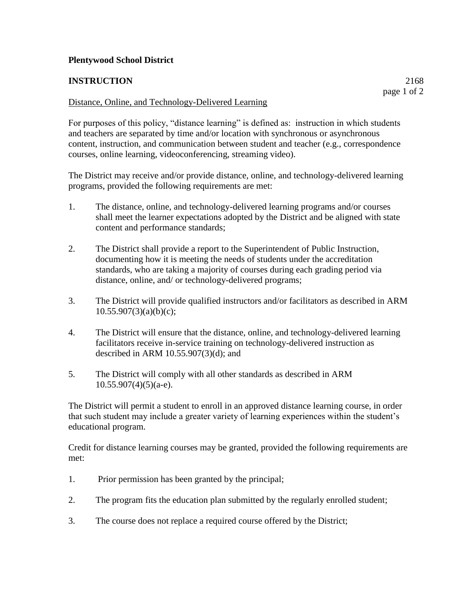# **INSTRUCTION** 2168

# Distance, Online, and Technology-Delivered Learning

For purposes of this policy, "distance learning" is defined as: instruction in which students and teachers are separated by time and/or location with synchronous or asynchronous content, instruction, and communication between student and teacher (e.g., correspondence courses, online learning, videoconferencing, streaming video).

The District may receive and/or provide distance, online, and technology-delivered learning programs, provided the following requirements are met:

- 1. The distance, online, and technology-delivered learning programs and/or courses shall meet the learner expectations adopted by the District and be aligned with state content and performance standards;
- 2. The District shall provide a report to the Superintendent of Public Instruction, documenting how it is meeting the needs of students under the accreditation standards, who are taking a majority of courses during each grading period via distance, online, and/ or technology-delivered programs;
- 3. The District will provide qualified instructors and/or facilitators as described in ARM  $10.55.907(3)(a)(b)(c);$
- 4. The District will ensure that the distance, online, and technology-delivered learning facilitators receive in-service training on technology-delivered instruction as described in ARM 10.55.907(3)(d); and
- 5. The District will comply with all other standards as described in ARM  $10.55.907(4)(5)(a-e)$ .

The District will permit a student to enroll in an approved distance learning course, in order that such student may include a greater variety of learning experiences within the student's educational program.

Credit for distance learning courses may be granted, provided the following requirements are met:

- 1. Prior permission has been granted by the principal;
- 2. The program fits the education plan submitted by the regularly enrolled student;
- 3. The course does not replace a required course offered by the District;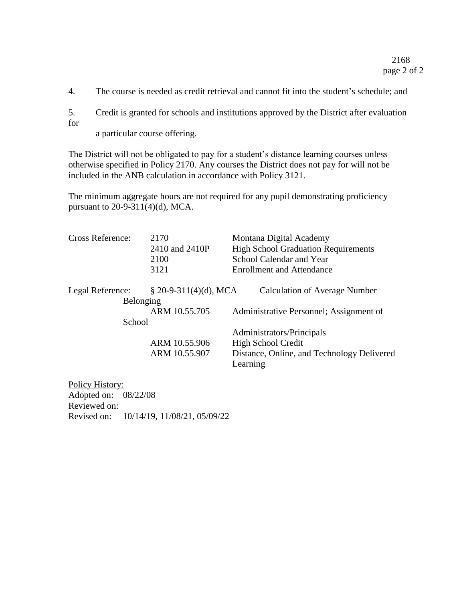- 4. The course is needed as credit retrieval and cannot fit into the student's schedule; and
- 5. Credit is granted for schools and institutions approved by the District after evaluation for

a particular course offering.

The District will not be obligated to pay for a student's distance learning courses unless otherwise specified in Policy 2170. Any courses the District does not pay for will not be included in the ANB calculation in accordance with Policy 3121.

The minimum aggregate hours are not required for any pupil demonstrating proficiency pursuant to 20-9-311(4)(d), MCA.

| <b>Cross Reference:</b>       | 2170<br>2410 and 2410P  | Montana Digital Academy<br><b>High School Graduation Requirements</b> |
|-------------------------------|-------------------------|-----------------------------------------------------------------------|
|                               | 2100                    | School Calendar and Year                                              |
|                               | 3121                    | <b>Enrollment and Attendance</b>                                      |
| Legal Reference:              | $$20-9-311(4)(d)$ , MCA | <b>Calculation of Average Number</b>                                  |
| Belonging                     |                         |                                                                       |
|                               | ARM 10.55.705           | Administrative Personnel; Assignment of                               |
| School                        |                         |                                                                       |
|                               |                         | Administrators/Principals                                             |
|                               | ARM 10.55.906           | High School Credit                                                    |
|                               | ARM 10.55.907           | Distance, Online, and Technology Delivered                            |
|                               |                         | Learning                                                              |
| Policy History:               |                         |                                                                       |
| $\lambda$ dontod one 00/00/00 |                         |                                                                       |

Adopted on: 08/22/08 Reviewed on: Revised on: 10/14/19, 11/08/21, 05/09/22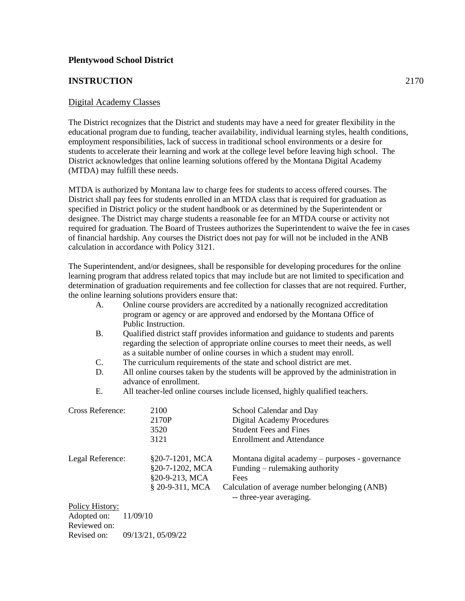#### **INSTRUCTION** 2170

#### Digital Academy Classes

The District recognizes that the District and students may have a need for greater flexibility in the educational program due to funding, teacher availability, individual learning styles, health conditions, employment responsibilities, lack of success in traditional school environments or a desire for students to accelerate their learning and work at the college level before leaving high school. The District acknowledges that online learning solutions offered by the Montana Digital Academy (MTDA) may fulfill these needs.

MTDA is authorized by Montana law to charge fees for students to access offered courses. The District shall pay fees for students enrolled in an MTDA class that is required for graduation as specified in District policy or the student handbook or as determined by the Superintendent or designee. The District may charge students a reasonable fee for an MTDA course or activity not required for graduation. The Board of Trustees authorizes the Superintendent to waive the fee in cases of financial hardship. Any courses the District does not pay for will not be included in the ANB calculation in accordance with Policy 3121.

The Superintendent, and/or designees, shall be responsible for developing procedures for the online learning program that address related topics that may include but are not limited to specification and determination of graduation requirements and fee collection for classes that are not required. Further, the online learning solutions providers ensure that:

- A. Online course providers are accredited by a nationally recognized accreditation program or agency or are approved and endorsed by the Montana Office of Public Instruction.
- B. Qualified district staff provides information and guidance to students and parents regarding the selection of appropriate online courses to meet their needs, as well as a suitable number of online courses in which a student may enroll.
- C. The curriculum requirements of the state and school district are met.
- D. All online courses taken by the students will be approved by the administration in advance of enrollment.
- E. All teacher-led online courses include licensed, highly qualified teachers.

| Cross Reference: | 2100<br>2170P<br>3520<br>3121                                           | School Calendar and Day<br><b>Digital Academy Procedures</b><br><b>Student Fees and Fines</b><br>Enrollment and Attendance                 |
|------------------|-------------------------------------------------------------------------|--------------------------------------------------------------------------------------------------------------------------------------------|
| Legal Reference: | §20-7-1201, MCA<br>§20-7-1202, MCA<br>§20-9-213, MCA<br>§ 20-9-311, MCA | Montana digital academy – purposes - governance<br>Funding – rulemaking authority<br>Fees<br>Calculation of average number belonging (ANB) |
|                  |                                                                         | -- three-year averaging.                                                                                                                   |

Policy History: Adopted on: 11/09/10 Reviewed on: Revised on: 09/13/21, 05/09/22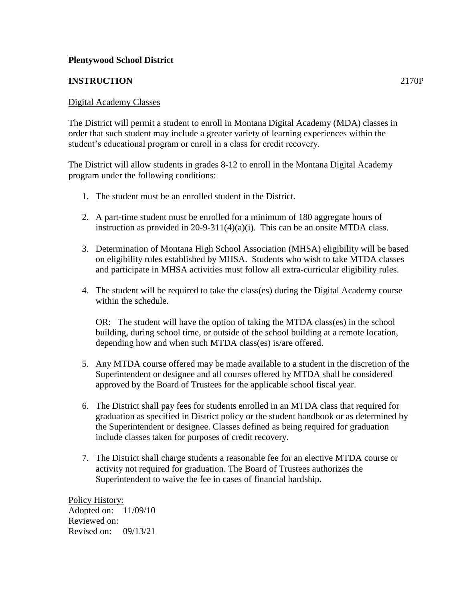# **INSTRUCTION** 2170P

#### Digital Academy Classes

The District will permit a student to enroll in Montana Digital Academy (MDA) classes in order that such student may include a greater variety of learning experiences within the student's educational program or enroll in a class for credit recovery.

The District will allow students in grades 8-12 to enroll in the Montana Digital Academy program under the following conditions:

- 1. The student must be an enrolled student in the District.
- 2. A part-time student must be enrolled for a minimum of 180 aggregate hours of instruction as provided in  $20-9-311(4)(a)(i)$ . This can be an onsite MTDA class.
- 3. Determination of Montana High School Association (MHSA) eligibility will be based on eligibility rules established by MHSA. Students who wish to take MTDA classes and participate in MHSA activities must follow all extra-curricular eligibility rules.
- 4. The student will be required to take the class(es) during the Digital Academy course within the schedule.

OR: The student will have the option of taking the MTDA class(es) in the school building, during school time, or outside of the school building at a remote location, depending how and when such MTDA class(es) is/are offered.

- 5. Any MTDA course offered may be made available to a student in the discretion of the Superintendent or designee and all courses offered by MTDA shall be considered approved by the Board of Trustees for the applicable school fiscal year.
- 6. The District shall pay fees for students enrolled in an MTDA class that required for graduation as specified in District policy or the student handbook or as determined by the Superintendent or designee. Classes defined as being required for graduation include classes taken for purposes of credit recovery.
- 7. The District shall charge students a reasonable fee for an elective MTDA course or activity not required for graduation. The Board of Trustees authorizes the Superintendent to waive the fee in cases of financial hardship.

Policy History: Adopted on: 11/09/10 Reviewed on: Revised on: 09/13/21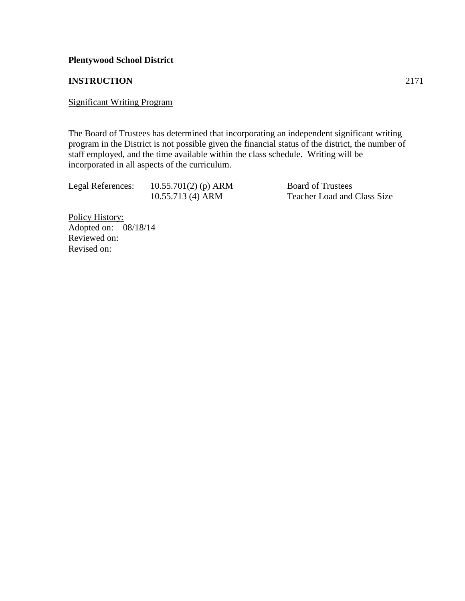# **INSTRUCTION** 2171

# Significant Writing Program

The Board of Trustees has determined that incorporating an independent significant writing program in the District is not possible given the financial status of the district, the number of staff employed, and the time available within the class schedule. Writing will be incorporated in all aspects of the curriculum.

Legal References: 10.55.701(2) (p) ARM Board of Trustees

10.55.713 (4) ARM Teacher Load and Class Size

Policy History: Adopted on: 08/18/14 Reviewed on: Revised on: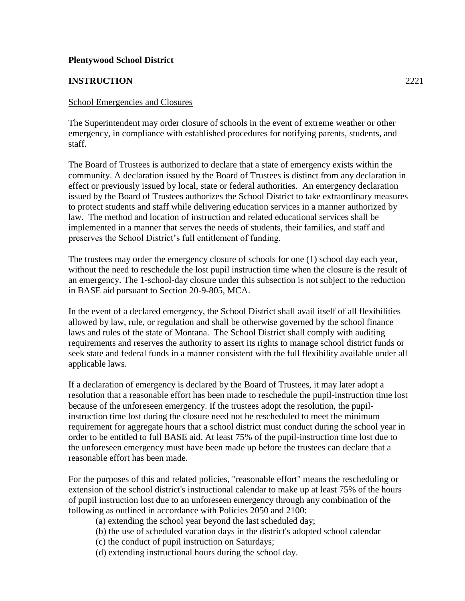# **INSTRUCTION** 2221

#### School Emergencies and Closures

The Superintendent may order closure of schools in the event of extreme weather or other emergency, in compliance with established procedures for notifying parents, students, and staff.

The Board of Trustees is authorized to declare that a state of emergency exists within the community. A declaration issued by the Board of Trustees is distinct from any declaration in effect or previously issued by local, state or federal authorities. An emergency declaration issued by the Board of Trustees authorizes the School District to take extraordinary measures to protect students and staff while delivering education services in a manner authorized by law. The method and location of instruction and related educational services shall be implemented in a manner that serves the needs of students, their families, and staff and preserves the School District's full entitlement of funding.

The trustees may order the emergency closure of schools for one (1) school day each year, without the need to reschedule the lost pupil instruction time when the closure is the result of an emergency. The 1-school-day closure under this subsection is not subject to the reduction in BASE aid pursuant to Section 20-9-805, MCA.

In the event of a declared emergency, the School District shall avail itself of all flexibilities allowed by law, rule, or regulation and shall be otherwise governed by the school finance laws and rules of the state of Montana. The School District shall comply with auditing requirements and reserves the authority to assert its rights to manage school district funds or seek state and federal funds in a manner consistent with the full flexibility available under all applicable laws.

If a declaration of emergency is declared by the Board of Trustees, it may later adopt a resolution that a reasonable effort has been made to reschedule the pupil-instruction time lost because of the unforeseen emergency. If the trustees adopt the resolution, the pupilinstruction time lost during the closure need not be rescheduled to meet the minimum requirement for aggregate hours that a school district must conduct during the school year in order to be entitled to full BASE aid. At least 75% of the pupil-instruction time lost due to the unforeseen emergency must have been made up before the trustees can declare that a reasonable effort has been made.

For the purposes of this and related policies, "reasonable effort" means the rescheduling or extension of the school district's instructional calendar to make up at least 75% of the hours of pupil instruction lost due to an unforeseen emergency through any combination of the following as outlined in accordance with Policies 2050 and 2100:

- (a) extending the school year beyond the last scheduled day;
- (b) the use of scheduled vacation days in the district's adopted school calendar
- (c) the conduct of pupil instruction on Saturdays;
- (d) extending instructional hours during the school day.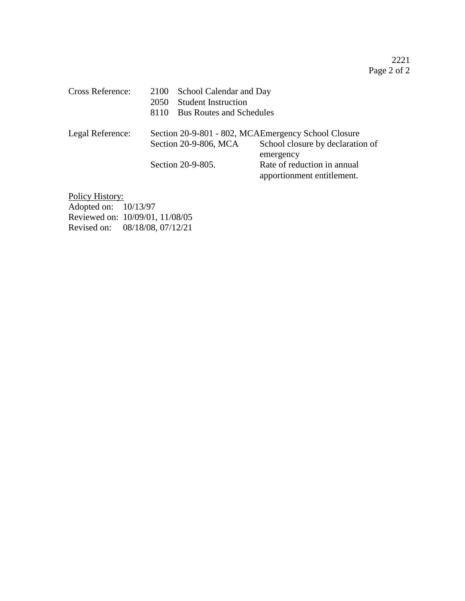| <b>Cross Reference:</b> | 2100                  | School Calendar and Day                                       |  |  |
|-------------------------|-----------------------|---------------------------------------------------------------|--|--|
|                         | 2050                  | <b>Student Instruction</b><br><b>Bus Routes and Schedules</b> |  |  |
|                         | 8110                  |                                                               |  |  |
| Legal Reference:        |                       | Section 20-9-801 - 802, MCAE mergency School Closure          |  |  |
|                         | Section 20-9-806, MCA | School closure by declaration of<br>emergency                 |  |  |
|                         | Section 20-9-805.     | Rate of reduction in annual<br>apportionment entitlement.     |  |  |
| Policy History:         |                       |                                                               |  |  |
| Adopted on: $10/13/97$  |                       |                                                               |  |  |

Reviewed on: 10/09/01, 11/08/05 Revised on: 08/18/08, 07/12/21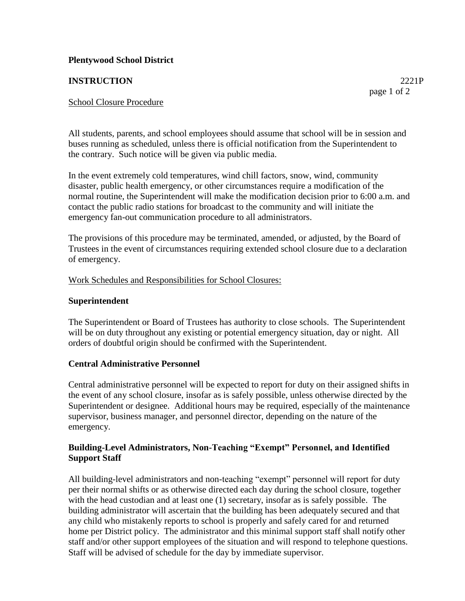# **INSTRUCTION** 2221P

page 1 of 2

# School Closure Procedure

All students, parents, and school employees should assume that school will be in session and buses running as scheduled, unless there is official notification from the Superintendent to the contrary. Such notice will be given via public media.

In the event extremely cold temperatures, wind chill factors, snow, wind, community disaster, public health emergency, or other circumstances require a modification of the normal routine, the Superintendent will make the modification decision prior to 6:00 a.m. and contact the public radio stations for broadcast to the community and will initiate the emergency fan-out communication procedure to all administrators.

The provisions of this procedure may be terminated, amended, or adjusted, by the Board of Trustees in the event of circumstances requiring extended school closure due to a declaration of emergency.

### Work Schedules and Responsibilities for School Closures:

### **Superintendent**

The Superintendent or Board of Trustees has authority to close schools. The Superintendent will be on duty throughout any existing or potential emergency situation, day or night. All orders of doubtful origin should be confirmed with the Superintendent.

### **Central Administrative Personnel**

Central administrative personnel will be expected to report for duty on their assigned shifts in the event of any school closure, insofar as is safely possible, unless otherwise directed by the Superintendent or designee. Additional hours may be required, especially of the maintenance supervisor, business manager, and personnel director, depending on the nature of the emergency.

# **Building-Level Administrators, Non-Teaching "Exempt" Personnel, and Identified Support Staff**

All building-level administrators and non-teaching "exempt" personnel will report for duty per their normal shifts or as otherwise directed each day during the school closure, together with the head custodian and at least one (1) secretary, insofar as is safely possible. The building administrator will ascertain that the building has been adequately secured and that any child who mistakenly reports to school is properly and safely cared for and returned home per District policy. The administrator and this minimal support staff shall notify other staff and/or other support employees of the situation and will respond to telephone questions. Staff will be advised of schedule for the day by immediate supervisor.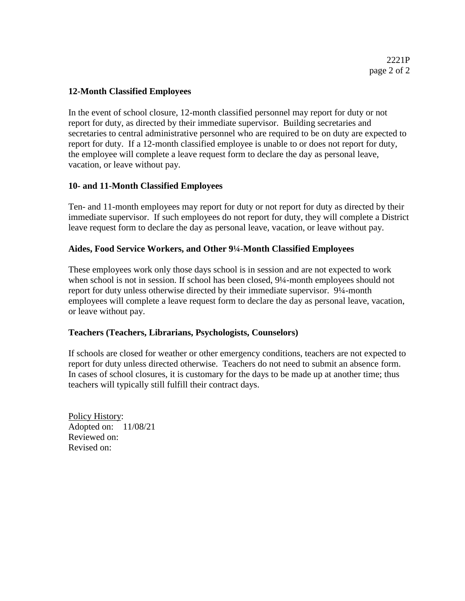# **12-Month Classified Employees**

In the event of school closure, 12-month classified personnel may report for duty or not report for duty, as directed by their immediate supervisor. Building secretaries and secretaries to central administrative personnel who are required to be on duty are expected to report for duty. If a 12-month classified employee is unable to or does not report for duty, the employee will complete a leave request form to declare the day as personal leave, vacation, or leave without pay.

# **10- and 11-Month Classified Employees**

Ten- and 11-month employees may report for duty or not report for duty as directed by their immediate supervisor. If such employees do not report for duty, they will complete a District leave request form to declare the day as personal leave, vacation, or leave without pay.

# **Aides, Food Service Workers, and Other 9¼-Month Classified Employees**

These employees work only those days school is in session and are not expected to work when school is not in session. If school has been closed,  $9\frac{1}{4}$ -month employees should not report for duty unless otherwise directed by their immediate supervisor. 9¼-month employees will complete a leave request form to declare the day as personal leave, vacation, or leave without pay.

# **Teachers (Teachers, Librarians, Psychologists, Counselors)**

If schools are closed for weather or other emergency conditions, teachers are not expected to report for duty unless directed otherwise. Teachers do not need to submit an absence form. In cases of school closures, it is customary for the days to be made up at another time; thus teachers will typically still fulfill their contract days.

Policy History: Adopted on: 11/08/21 Reviewed on: Revised on: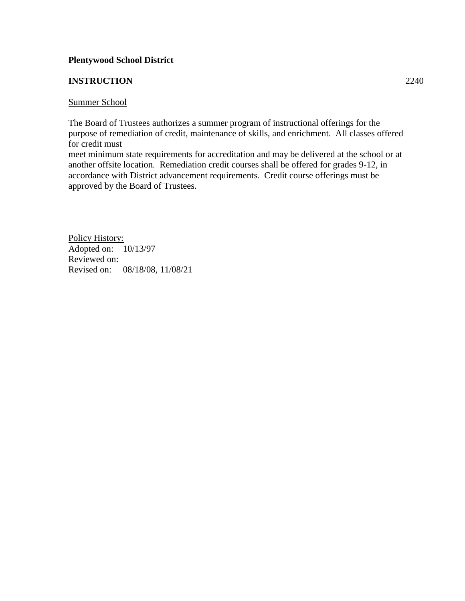# **INSTRUCTION** 2240

#### Summer School

The Board of Trustees authorizes a summer program of instructional offerings for the purpose of remediation of credit, maintenance of skills, and enrichment. All classes offered for credit must

meet minimum state requirements for accreditation and may be delivered at the school or at another offsite location. Remediation credit courses shall be offered for grades 9-12, in accordance with District advancement requirements. Credit course offerings must be approved by the Board of Trustees.

Policy History: Adopted on: 10/13/97 Reviewed on: Revised on: 08/18/08, 11/08/21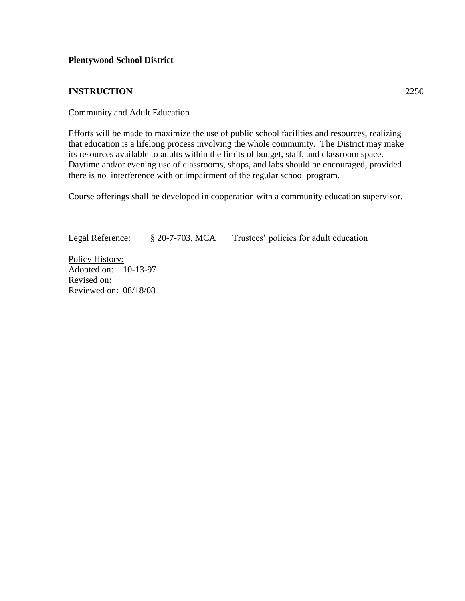# **INSTRUCTION** 2250

Efforts will be made to maximize the use of public school facilities and resources, realizing that education is a lifelong process involving the whole community. The District may make its resources available to adults within the limits of budget, staff, and classroom space. Daytime and/or evening use of classrooms, shops, and labs should be encouraged, provided there is no interference with or impairment of the regular school program.

Course offerings shall be developed in cooperation with a community education supervisor.

Legal Reference: § 20-7-703, MCA Trustees' policies for adult education

Policy History: Adopted on: 10-13-97 Revised on: Reviewed on: 08/18/08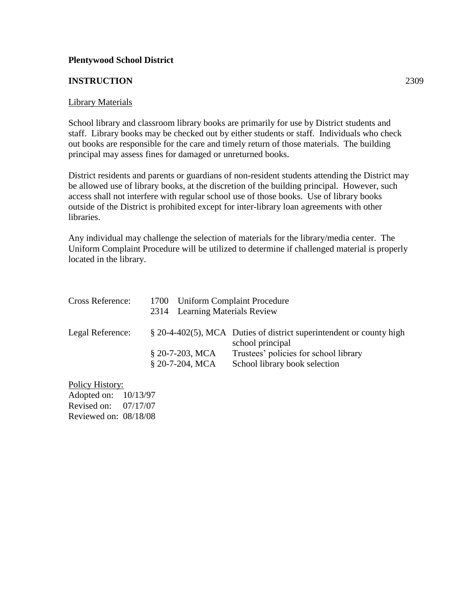### **INSTRUCTION** 2309

#### Library Materials

School library and classroom library books are primarily for use by District students and staff. Library books may be checked out by either students or staff. Individuals who check out books are responsible for the care and timely return of those materials. The building principal may assess fines for damaged or unreturned books.

District residents and parents or guardians of non-resident students attending the District may be allowed use of library books, at the discretion of the building principal. However, such access shall not interfere with regular school use of those books. Use of library books outside of the District is prohibited except for inter-library loan agreements with other libraries.

Any individual may challenge the selection of materials for the library/media center. The Uniform Complaint Procedure will be utilized to determine if challenged material is properly located in the library.

| <b>Cross Reference:</b> | 1700 Uniform Complaint Procedure<br>2314 Learning Materials Review |                                                                                            |
|-------------------------|--------------------------------------------------------------------|--------------------------------------------------------------------------------------------|
| Legal Reference:        |                                                                    | $\S$ 20-4-402(5), MCA Duties of district superintendent or county high<br>school principal |
|                         | $$20-7-203$ , MCA                                                  | Trustees' policies for school library                                                      |
|                         | § 20-7-204, MCA                                                    | School library book selection                                                              |
| Policy History:         |                                                                    |                                                                                            |
| Adopted on: 10/13/97    |                                                                    |                                                                                            |

Revised on: 07/17/07 Reviewed on: 08/18/08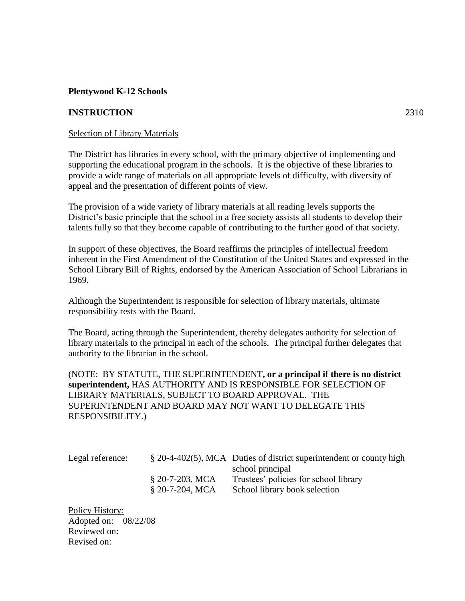#### **Plentywood K-12 Schools**

#### **INSTRUCTION** 2310

#### Selection of Library Materials

The District has libraries in every school, with the primary objective of implementing and supporting the educational program in the schools. It is the objective of these libraries to provide a wide range of materials on all appropriate levels of difficulty, with diversity of appeal and the presentation of different points of view.

The provision of a wide variety of library materials at all reading levels supports the District's basic principle that the school in a free society assists all students to develop their talents fully so that they become capable of contributing to the further good of that society.

In support of these objectives, the Board reaffirms the principles of intellectual freedom inherent in the First Amendment of the Constitution of the United States and expressed in the School Library Bill of Rights, endorsed by the American Association of School Librarians in 1969.

Although the Superintendent is responsible for selection of library materials, ultimate responsibility rests with the Board.

The Board, acting through the Superintendent, thereby delegates authority for selection of library materials to the principal in each of the schools. The principal further delegates that authority to the librarian in the school.

(NOTE: BY STATUTE, THE SUPERINTENDENT**, or a principal if there is no district superintendent,** HAS AUTHORITY AND IS RESPONSIBLE FOR SELECTION OF LIBRARY MATERIALS, SUBJECT TO BOARD APPROVAL. THE SUPERINTENDENT AND BOARD MAY NOT WANT TO DELEGATE THIS RESPONSIBILITY.)

| Legal reference: |                   | $\S$ 20-4-402(5), MCA Duties of district superintendent or county high |
|------------------|-------------------|------------------------------------------------------------------------|
|                  |                   | school principal                                                       |
|                  | $$20-7-203$ , MCA | Trustees' policies for school library                                  |
|                  | $$20-7-204$ , MCA | School library book selection                                          |

Policy History: Adopted on: 08/22/08 Reviewed on: Revised on: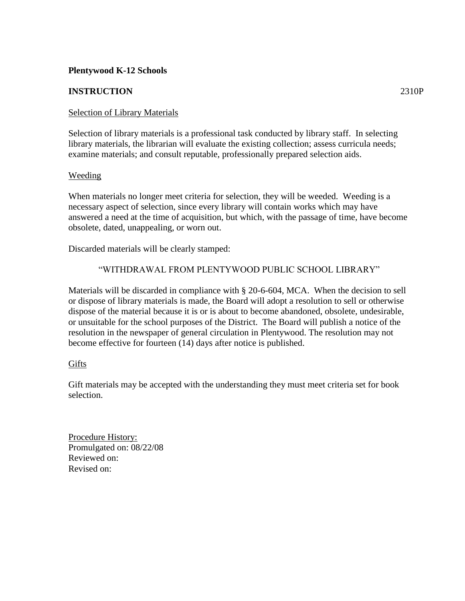# **Plentywood K-12 Schools**

# **INSTRUCTION** 2310P

# Selection of Library Materials

Selection of library materials is a professional task conducted by library staff. In selecting library materials, the librarian will evaluate the existing collection; assess curricula needs; examine materials; and consult reputable, professionally prepared selection aids.

# Weeding

When materials no longer meet criteria for selection, they will be weeded. Weeding is a necessary aspect of selection, since every library will contain works which may have answered a need at the time of acquisition, but which, with the passage of time, have become obsolete, dated, unappealing, or worn out.

Discarded materials will be clearly stamped:

# "WITHDRAWAL FROM PLENTYWOOD PUBLIC SCHOOL LIBRARY"

Materials will be discarded in compliance with § 20-6-604, MCA. When the decision to sell or dispose of library materials is made, the Board will adopt a resolution to sell or otherwise dispose of the material because it is or is about to become abandoned, obsolete, undesirable, or unsuitable for the school purposes of the District. The Board will publish a notice of the resolution in the newspaper of general circulation in Plentywood. The resolution may not become effective for fourteen (14) days after notice is published.

### Gifts

Gift materials may be accepted with the understanding they must meet criteria set for book selection.

Procedure History: Promulgated on: 08/22/08 Reviewed on: Revised on: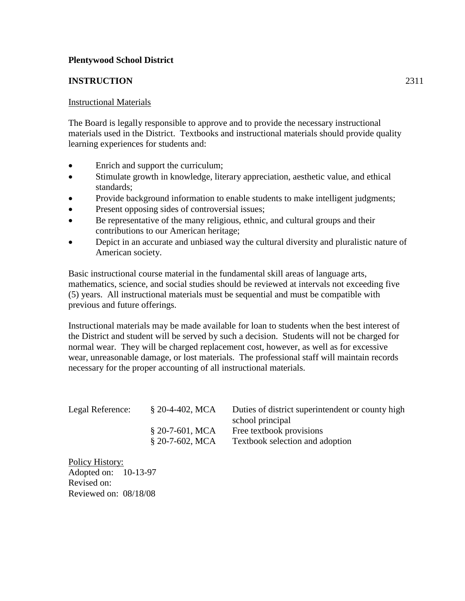# **INSTRUCTION** 2311

#### Instructional Materials

The Board is legally responsible to approve and to provide the necessary instructional materials used in the District. Textbooks and instructional materials should provide quality learning experiences for students and:

- Enrich and support the curriculum;
- Stimulate growth in knowledge, literary appreciation, aesthetic value, and ethical standards;
- Provide background information to enable students to make intelligent judgments;
- Present opposing sides of controversial issues;
- Be representative of the many religious, ethnic, and cultural groups and their contributions to our American heritage;
- Depict in an accurate and unbiased way the cultural diversity and pluralistic nature of American society.

Basic instructional course material in the fundamental skill areas of language arts, mathematics, science, and social studies should be reviewed at intervals not exceeding five (5) years. All instructional materials must be sequential and must be compatible with previous and future offerings.

Instructional materials may be made available for loan to students when the best interest of the District and student will be served by such a decision. Students will not be charged for normal wear. They will be charged replacement cost, however, as well as for excessive wear, unreasonable damage, or lost materials. The professional staff will maintain records necessary for the proper accounting of all instructional materials.

| Legal Reference: | $$20-4-402$ , MCA | Duties of district superintendent or county high |
|------------------|-------------------|--------------------------------------------------|
|                  |                   | school principal                                 |
|                  | $$20-7-601$ , MCA | Free textbook provisions                         |
|                  | $$20-7-602$ , MCA | Textbook selection and adoption                  |
|                  |                   |                                                  |

Policy History: Adopted on: 10-13-97 Revised on: Reviewed on: 08/18/08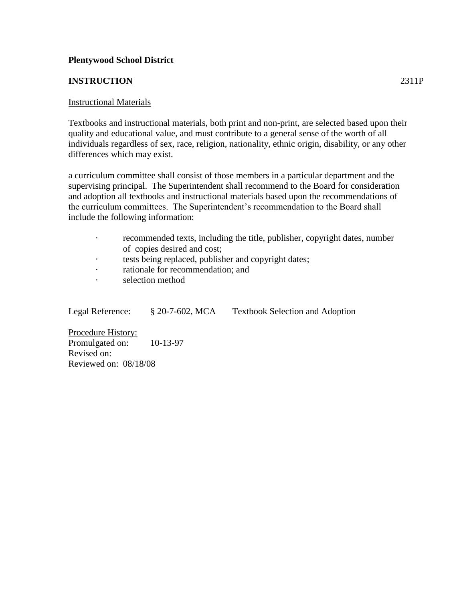### **INSTRUCTION** 2311P

#### Instructional Materials

Textbooks and instructional materials, both print and non-print, are selected based upon their quality and educational value, and must contribute to a general sense of the worth of all individuals regardless of sex, race, religion, nationality, ethnic origin, disability, or any other differences which may exist.

a curriculum committee shall consist of those members in a particular department and the supervising principal. The Superintendent shall recommend to the Board for consideration and adoption all textbooks and instructional materials based upon the recommendations of the curriculum committees. The Superintendent's recommendation to the Board shall include the following information:

- · recommended texts, including the title, publisher, copyright dates, number of copies desired and cost;
- · tests being replaced, publisher and copyright dates;
- · rationale for recommendation; and
- · selection method

Legal Reference: § 20-7-602, MCA Textbook Selection and Adoption

Procedure History: Promulgated on: 10-13-97 Revised on: Reviewed on: 08/18/08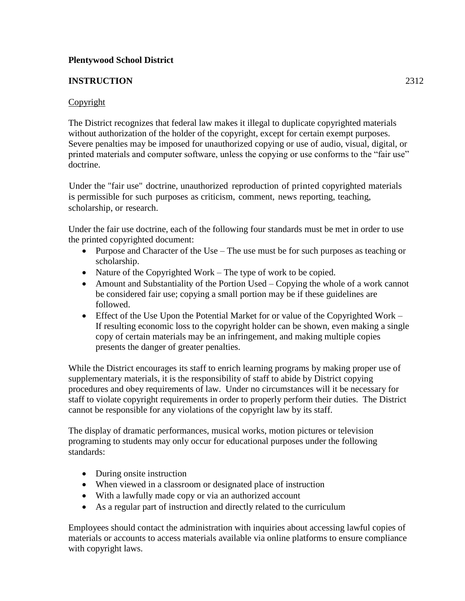# **INSTRUCTION** 2312

# Copyright

The District recognizes that federal law makes it illegal to duplicate copyrighted materials without authorization of the holder of the copyright, except for certain exempt purposes. Severe penalties may be imposed for unauthorized copying or use of audio, visual, digital, or printed materials and computer software, unless the copying or use conforms to the "fair use" doctrine.

Under the "fair use" doctrine, unauthorized reproduction of printed copyrighted materials is permissible for such purposes as criticism, comment, news reporting, teaching, scholarship, or research.

Under the fair use doctrine, each of the following four standards must be met in order to use the printed copyrighted document:

- Purpose and Character of the Use The use must be for such purposes as teaching or scholarship.
- Nature of the Copyrighted Work The type of work to be copied.
- Amount and Substantiality of the Portion Used Copying the whole of a work cannot be considered fair use; copying a small portion may be if these guidelines are followed.
- Effect of the Use Upon the Potential Market for or value of the Copyrighted Work If resulting economic loss to the copyright holder can be shown, even making a single copy of certain materials may be an infringement, and making multiple copies presents the danger of greater penalties.

While the District encourages its staff to enrich learning programs by making proper use of supplementary materials, it is the responsibility of staff to abide by District copying procedures and obey requirements of law. Under no circumstances will it be necessary for staff to violate copyright requirements in order to properly perform their duties. The District cannot be responsible for any violations of the copyright law by its staff.

The display of dramatic performances, musical works, motion pictures or television programing to students may only occur for educational purposes under the following standards:

- During onsite instruction
- When viewed in a classroom or designated place of instruction
- With a lawfully made copy or via an authorized account
- As a regular part of instruction and directly related to the curriculum

Employees should contact the administration with inquiries about accessing lawful copies of materials or accounts to access materials available via online platforms to ensure compliance with copyright laws.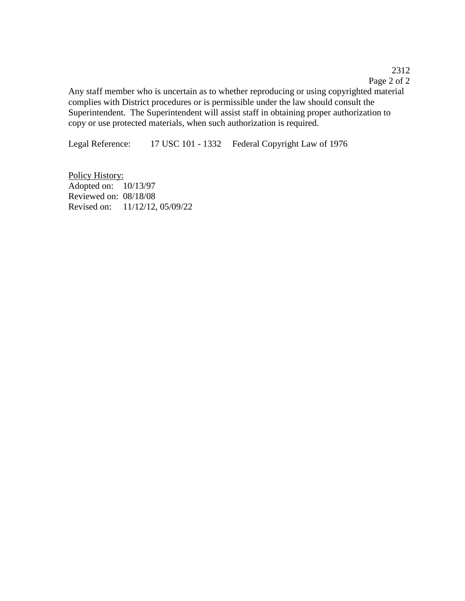#### 2312 Page 2 of 2

Any staff member who is uncertain as to whether reproducing or using copyrighted material complies with District procedures or is permissible under the law should consult the Superintendent. The Superintendent will assist staff in obtaining proper authorization to copy or use protected materials, when such authorization is required.

Legal Reference: 17 USC 101 - 1332 Federal Copyright Law of 1976

Policy History: Adopted on: 10/13/97 Reviewed on: 08/18/08 Revised on: 11/12/12, 05/09/22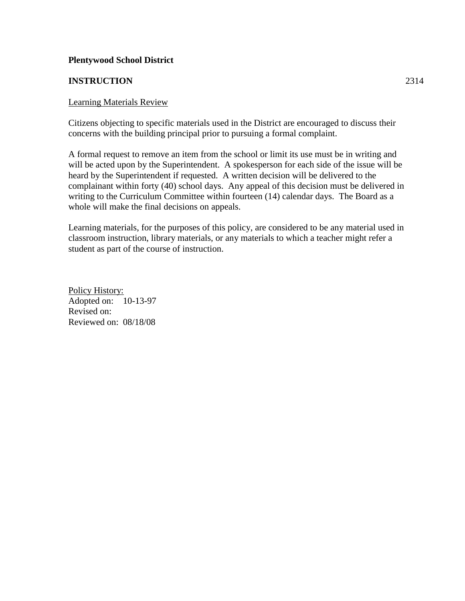# **INSTRUCTION** 2314

#### Learning Materials Review

Citizens objecting to specific materials used in the District are encouraged to discuss their concerns with the building principal prior to pursuing a formal complaint.

A formal request to remove an item from the school or limit its use must be in writing and will be acted upon by the Superintendent. A spokesperson for each side of the issue will be heard by the Superintendent if requested. A written decision will be delivered to the complainant within forty (40) school days. Any appeal of this decision must be delivered in writing to the Curriculum Committee within fourteen (14) calendar days. The Board as a whole will make the final decisions on appeals.

Learning materials, for the purposes of this policy, are considered to be any material used in classroom instruction, library materials, or any materials to which a teacher might refer a student as part of the course of instruction.

Policy History: Adopted on: 10-13-97 Revised on: Reviewed on: 08/18/08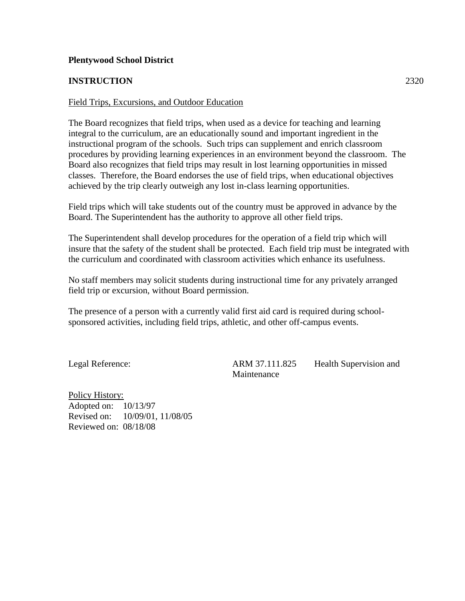# **INSTRUCTION** 2320

#### Field Trips, Excursions, and Outdoor Education

The Board recognizes that field trips, when used as a device for teaching and learning integral to the curriculum, are an educationally sound and important ingredient in the instructional program of the schools. Such trips can supplement and enrich classroom procedures by providing learning experiences in an environment beyond the classroom. The Board also recognizes that field trips may result in lost learning opportunities in missed classes. Therefore, the Board endorses the use of field trips, when educational objectives achieved by the trip clearly outweigh any lost in-class learning opportunities.

Field trips which will take students out of the country must be approved in advance by the Board. The Superintendent has the authority to approve all other field trips.

The Superintendent shall develop procedures for the operation of a field trip which will insure that the safety of the student shall be protected. Each field trip must be integrated with the curriculum and coordinated with classroom activities which enhance its usefulness.

No staff members may solicit students during instructional time for any privately arranged field trip or excursion, without Board permission.

The presence of a person with a currently valid first aid card is required during schoolsponsored activities, including field trips, athletic, and other off-campus events.

Maintenance

Legal Reference: ARM 37.111.825 Health Supervision and

Policy History: Adopted on: 10/13/97 Revised on: 10/09/01, 11/08/05 Reviewed on: 08/18/08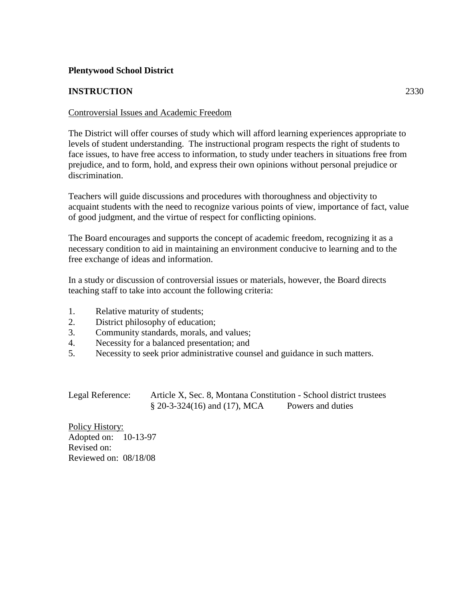# **INSTRUCTION** 2330

### Controversial Issues and Academic Freedom

The District will offer courses of study which will afford learning experiences appropriate to levels of student understanding. The instructional program respects the right of students to face issues, to have free access to information, to study under teachers in situations free from prejudice, and to form, hold, and express their own opinions without personal prejudice or discrimination.

Teachers will guide discussions and procedures with thoroughness and objectivity to acquaint students with the need to recognize various points of view, importance of fact, value of good judgment, and the virtue of respect for conflicting opinions.

The Board encourages and supports the concept of academic freedom, recognizing it as a necessary condition to aid in maintaining an environment conducive to learning and to the free exchange of ideas and information.

In a study or discussion of controversial issues or materials, however, the Board directs teaching staff to take into account the following criteria:

- 1. Relative maturity of students;
- 2. District philosophy of education;
- 3. Community standards, morals, and values;
- 4. Necessity for a balanced presentation; and
- 5. Necessity to seek prior administrative counsel and guidance in such matters.

Legal Reference: Article X, Sec. 8, Montana Constitution - School district trustees § 20-3-324(16) and (17), MCA Powers and duties

Policy History: Adopted on: 10-13-97 Revised on: Reviewed on: 08/18/08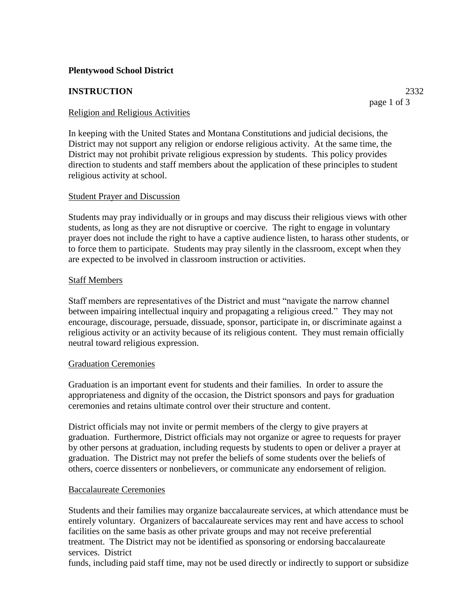### **INSTRUCTION** 2332

#### Religion and Religious Activities

In keeping with the United States and Montana Constitutions and judicial decisions, the District may not support any religion or endorse religious activity. At the same time, the District may not prohibit private religious expression by students. This policy provides direction to students and staff members about the application of these principles to student religious activity at school.

#### Student Prayer and Discussion

Students may pray individually or in groups and may discuss their religious views with other students, as long as they are not disruptive or coercive. The right to engage in voluntary prayer does not include the right to have a captive audience listen, to harass other students, or to force them to participate. Students may pray silently in the classroom, except when they are expected to be involved in classroom instruction or activities.

#### Staff Members

Staff members are representatives of the District and must "navigate the narrow channel between impairing intellectual inquiry and propagating a religious creed." They may not encourage, discourage, persuade, dissuade, sponsor, participate in, or discriminate against a religious activity or an activity because of its religious content. They must remain officially neutral toward religious expression.

#### Graduation Ceremonies

Graduation is an important event for students and their families. In order to assure the appropriateness and dignity of the occasion, the District sponsors and pays for graduation ceremonies and retains ultimate control over their structure and content.

District officials may not invite or permit members of the clergy to give prayers at graduation. Furthermore, District officials may not organize or agree to requests for prayer by other persons at graduation, including requests by students to open or deliver a prayer at graduation. The District may not prefer the beliefs of some students over the beliefs of others, coerce dissenters or nonbelievers, or communicate any endorsement of religion.

#### Baccalaureate Ceremonies

Students and their families may organize baccalaureate services, at which attendance must be entirely voluntary. Organizers of baccalaureate services may rent and have access to school facilities on the same basis as other private groups and may not receive preferential treatment. The District may not be identified as sponsoring or endorsing baccalaureate services. District

funds, including paid staff time, may not be used directly or indirectly to support or subsidize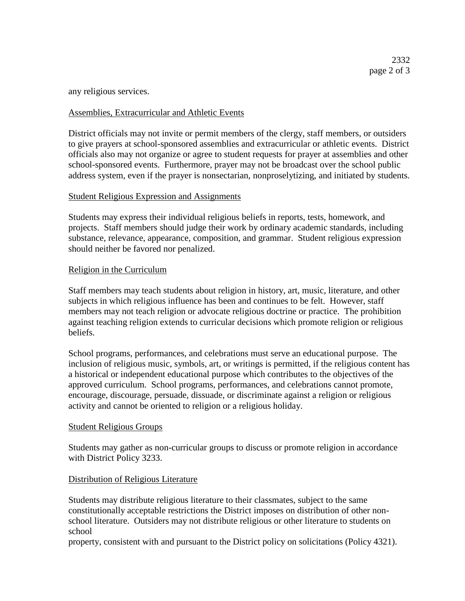any religious services.

# Assemblies, Extracurricular and Athletic Events

District officials may not invite or permit members of the clergy, staff members, or outsiders to give prayers at school-sponsored assemblies and extracurricular or athletic events. District officials also may not organize or agree to student requests for prayer at assemblies and other school-sponsored events. Furthermore, prayer may not be broadcast over the school public address system, even if the prayer is nonsectarian, nonproselytizing, and initiated by students.

### Student Religious Expression and Assignments

Students may express their individual religious beliefs in reports, tests, homework, and projects. Staff members should judge their work by ordinary academic standards, including substance, relevance, appearance, composition, and grammar. Student religious expression should neither be favored nor penalized.

### Religion in the Curriculum

Staff members may teach students about religion in history, art, music, literature, and other subjects in which religious influence has been and continues to be felt. However, staff members may not teach religion or advocate religious doctrine or practice. The prohibition against teaching religion extends to curricular decisions which promote religion or religious beliefs.

School programs, performances, and celebrations must serve an educational purpose. The inclusion of religious music, symbols, art, or writings is permitted, if the religious content has a historical or independent educational purpose which contributes to the objectives of the approved curriculum. School programs, performances, and celebrations cannot promote, encourage, discourage, persuade, dissuade, or discriminate against a religion or religious activity and cannot be oriented to religion or a religious holiday.

### Student Religious Groups

Students may gather as non-curricular groups to discuss or promote religion in accordance with District Policy 3233.

### Distribution of Religious Literature

Students may distribute religious literature to their classmates, subject to the same constitutionally acceptable restrictions the District imposes on distribution of other nonschool literature. Outsiders may not distribute religious or other literature to students on school

property, consistent with and pursuant to the District policy on solicitations (Policy 4321).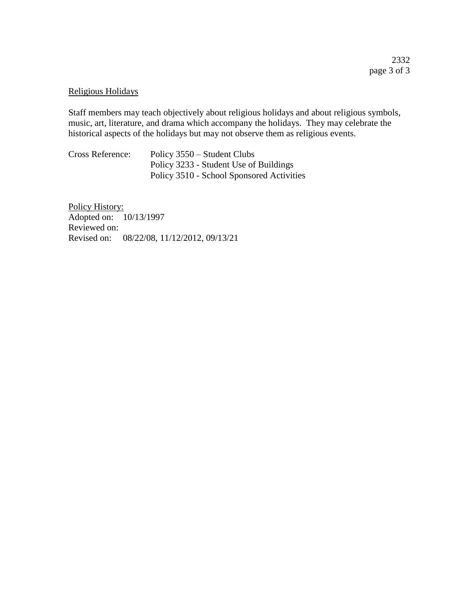### Religious Holidays

Staff members may teach objectively about religious holidays and about religious symbols, music, art, literature, and drama which accompany the holidays. They may celebrate the historical aspects of the holidays but may not observe them as religious events.

Cross Reference: Policy 3550 – Student Clubs Policy 3233 - Student Use of Buildings Policy 3510 - School Sponsored Activities

Policy History: Adopted on: 10/13/1997 Reviewed on: Revised on: 08/22/08, 11/12/2012, 09/13/21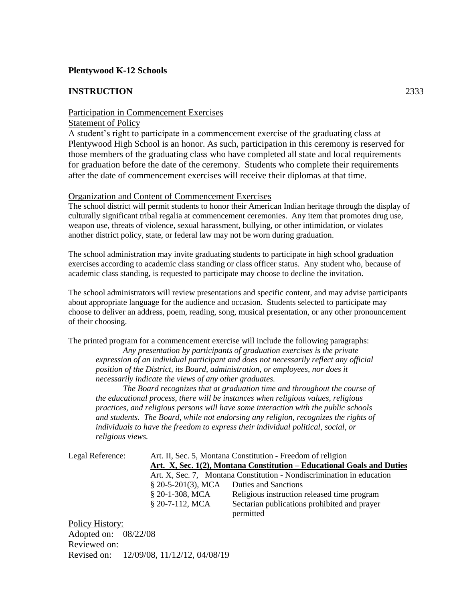#### **Plentywood K-12 Schools**

#### **INSTRUCTION** 2333

#### Participation in Commencement Exercises

### Statement of Policy

A student's right to participate in a commencement exercise of the graduating class at Plentywood High School is an honor. As such, participation in this ceremony is reserved for those members of the graduating class who have completed all state and local requirements for graduation before the date of the ceremony. Students who complete their requirements after the date of commencement exercises will receive their diplomas at that time.

#### Organization and Content of Commencement Exercises

The school district will permit students to honor their American Indian heritage through the display of culturally significant tribal regalia at commencement ceremonies. Any item that promotes drug use, weapon use, threats of violence, sexual harassment, bullying, or other intimidation, or violates another district policy, state, or federal law may not be worn during graduation.

The school administration may invite graduating students to participate in high school graduation exercises according to academic class standing or class officer status. Any student who, because of academic class standing, is requested to participate may choose to decline the invitation.

The school administrators will review presentations and specific content, and may advise participants about appropriate language for the audience and occasion. Students selected to participate may choose to deliver an address, poem, reading, song, musical presentation, or any other pronouncement of their choosing.

The printed program for a commencement exercise will include the following paragraphs:

*Any presentation by participants of graduation exercises is the private expression of an individual participant and does not necessarily reflect any official position of the District, its Board, administration, or employees, nor does it necessarily indicate the views of any other graduates.*

*The Board recognizes that at graduation time and throughout the course of the educational process, there will be instances when religious values, religious practices, and religious persons will have some interaction with the public schools and students. The Board, while not endorsing any religion, recognizes the rights of individuals to have the freedom to express their individual political, social, or religious views.*

| Legal Reference: |                   | Art. II, Sec. 5, Montana Constitution - Freedom of religion            |
|------------------|-------------------|------------------------------------------------------------------------|
|                  |                   | Art. X, Sec. 1(2), Montana Constitution – Educational Goals and Duties |
|                  |                   | Art. X, Sec. 7, Montana Constitution - Nondiscrimination in education  |
|                  |                   | $\S$ 20-5-201(3), MCA Duties and Sanctions                             |
|                  | $$20-1-308$ , MCA | Religious instruction released time program                            |
|                  | $$20-7-112$ , MCA | Sectarian publications prohibited and prayer                           |
|                  |                   | permitted                                                              |
|                  |                   |                                                                        |

Policy History: Adopted on: 08/22/08 Reviewed on: Revised on: 12/09/08, 11/12/12, 04/08/19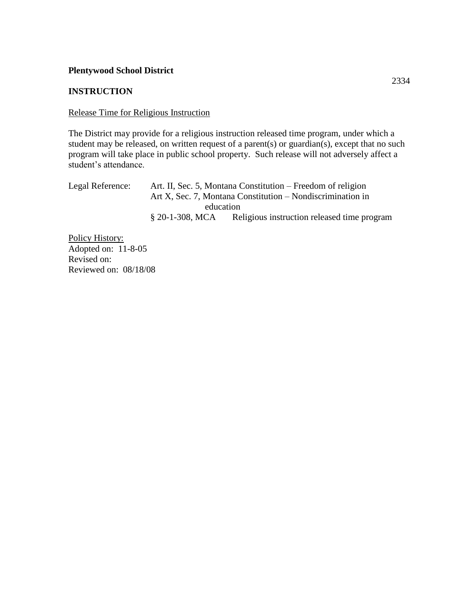### **INSTRUCTION**

#### Release Time for Religious Instruction

The District may provide for a religious instruction released time program, under which a student may be released, on written request of a parent(s) or guardian(s), except that no such program will take place in public school property. Such release will not adversely affect a student's attendance.

| Legal Reference: | Art. II, Sec. 5, Montana Constitution – Freedom of religion |                                                            |
|------------------|-------------------------------------------------------------|------------------------------------------------------------|
|                  |                                                             | Art X, Sec. 7, Montana Constitution – Nondiscrimination in |
|                  | education                                                   |                                                            |
|                  | $$20-1-308$ , MCA                                           | Religious instruction released time program                |
|                  |                                                             |                                                            |

Policy History: Adopted on: 11-8-05 Revised on: Reviewed on: 08/18/08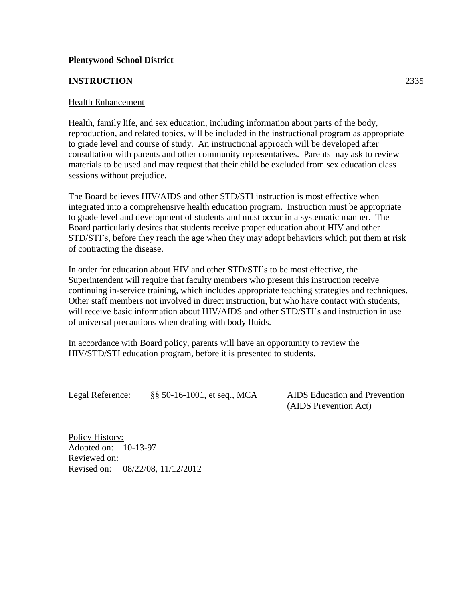### **INSTRUCTION** 2335

#### Health Enhancement

Health, family life, and sex education, including information about parts of the body, reproduction, and related topics, will be included in the instructional program as appropriate to grade level and course of study. An instructional approach will be developed after consultation with parents and other community representatives. Parents may ask to review materials to be used and may request that their child be excluded from sex education class sessions without prejudice.

The Board believes HIV/AIDS and other STD/STI instruction is most effective when integrated into a comprehensive health education program. Instruction must be appropriate to grade level and development of students and must occur in a systematic manner. The Board particularly desires that students receive proper education about HIV and other STD/STI's, before they reach the age when they may adopt behaviors which put them at risk of contracting the disease.

In order for education about HIV and other STD/STI's to be most effective, the Superintendent will require that faculty members who present this instruction receive continuing in-service training, which includes appropriate teaching strategies and techniques. Other staff members not involved in direct instruction, but who have contact with students, will receive basic information about HIV/AIDS and other STD/STI's and instruction in use of universal precautions when dealing with body fluids.

In accordance with Board policy, parents will have an opportunity to review the HIV/STD/STI education program, before it is presented to students.

Legal Reference: §§ 50-16-1001, et seq., MCA AIDS Education and Prevention (AIDS Prevention Act)

Policy History: Adopted on: 10-13-97 Reviewed on: Revised on: 08/22/08, 11/12/2012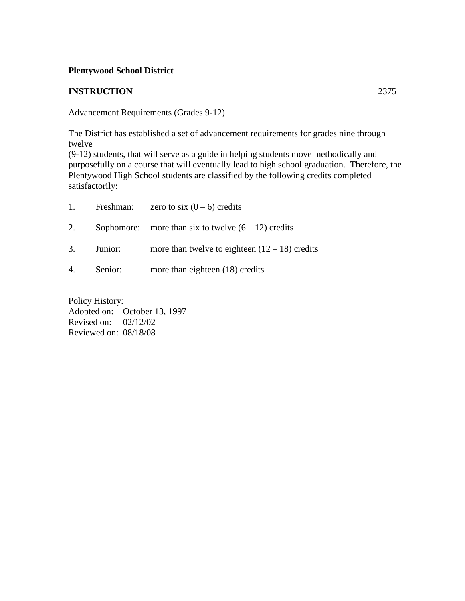# **INSTRUCTION** 2375

### Advancement Requirements (Grades 9-12)

The District has established a set of advancement requirements for grades nine through twelve

(9-12) students, that will serve as a guide in helping students move methodically and purposefully on a course that will eventually lead to high school graduation. Therefore, the Plentywood High School students are classified by the following credits completed satisfactorily:

| 1. |         | Freshman: zero to six $(0 - 6)$ credits                     |
|----|---------|-------------------------------------------------------------|
| 2. |         | Sophomore: more than six to twelve $(6 - 12)$ credits       |
|    |         | 3. Junior: more than twelve to eighteen $(12 – 18)$ credits |
| 4. | Senior: | more than eighteen $(18)$ credits                           |

Policy History: Adopted on: October 13, 1997 Revised on: 02/12/02 Reviewed on: 08/18/08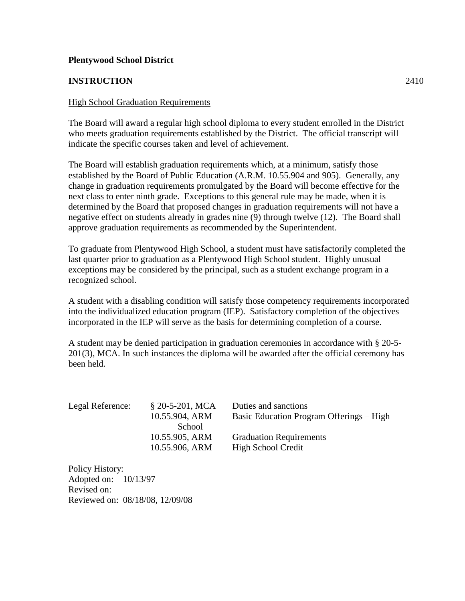# **INSTRUCTION** 2410

#### High School Graduation Requirements

The Board will award a regular high school diploma to every student enrolled in the District who meets graduation requirements established by the District. The official transcript will indicate the specific courses taken and level of achievement.

The Board will establish graduation requirements which, at a minimum, satisfy those established by the Board of Public Education (A.R.M. 10.55.904 and 905). Generally, any change in graduation requirements promulgated by the Board will become effective for the next class to enter ninth grade. Exceptions to this general rule may be made, when it is determined by the Board that proposed changes in graduation requirements will not have a negative effect on students already in grades nine (9) through twelve (12). The Board shall approve graduation requirements as recommended by the Superintendent.

To graduate from Plentywood High School, a student must have satisfactorily completed the last quarter prior to graduation as a Plentywood High School student. Highly unusual exceptions may be considered by the principal, such as a student exchange program in a recognized school.

A student with a disabling condition will satisfy those competency requirements incorporated into the individualized education program (IEP). Satisfactory completion of the objectives incorporated in the IEP will serve as the basis for determining completion of a course.

A student may be denied participation in graduation ceremonies in accordance with § 20-5- 201(3), MCA. In such instances the diploma will be awarded after the official ceremony has been held.

| Legal Reference: | $$20-5-201$ , MCA<br>10.55.904, ARM<br>School | Duties and sanctions<br>Basic Education Program Offerings – High |
|------------------|-----------------------------------------------|------------------------------------------------------------------|
|                  | 10.55.905, ARM<br>10.55.906, ARM              | <b>Graduation Requirements</b><br>High School Credit             |

Policy History: Adopted on: 10/13/97 Revised on: Reviewed on: 08/18/08, 12/09/08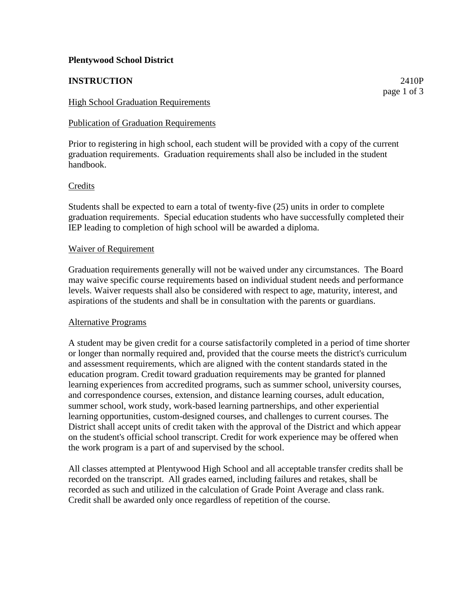# **INSTRUCTION** 2410P

# High School Graduation Requirements

### Publication of Graduation Requirements

Prior to registering in high school, each student will be provided with a copy of the current graduation requirements. Graduation requirements shall also be included in the student handbook.

### Credits

Students shall be expected to earn a total of twenty-five (25) units in order to complete graduation requirements. Special education students who have successfully completed their IEP leading to completion of high school will be awarded a diploma.

#### Waiver of Requirement

Graduation requirements generally will not be waived under any circumstances. The Board may waive specific course requirements based on individual student needs and performance levels. Waiver requests shall also be considered with respect to age, maturity, interest, and aspirations of the students and shall be in consultation with the parents or guardians.

#### Alternative Programs

A student may be given credit for a course satisfactorily completed in a period of time shorter or longer than normally required and, provided that the course meets the district's curriculum and assessment requirements, which are aligned with the content standards stated in the education program. Credit toward graduation requirements may be granted for planned learning experiences from accredited programs, such as summer school, university courses, and correspondence courses, extension, and distance learning courses, adult education, summer school, work study, work-based learning partnerships, and other experiential learning opportunities, custom-designed courses, and challenges to current courses. The District shall accept units of credit taken with the approval of the District and which appear on the student's official school transcript. Credit for work experience may be offered when the work program is a part of and supervised by the school.

All classes attempted at Plentywood High School and all acceptable transfer credits shall be recorded on the transcript. All grades earned, including failures and retakes, shall be recorded as such and utilized in the calculation of Grade Point Average and class rank. Credit shall be awarded only once regardless of repetition of the course.

page 1 of 3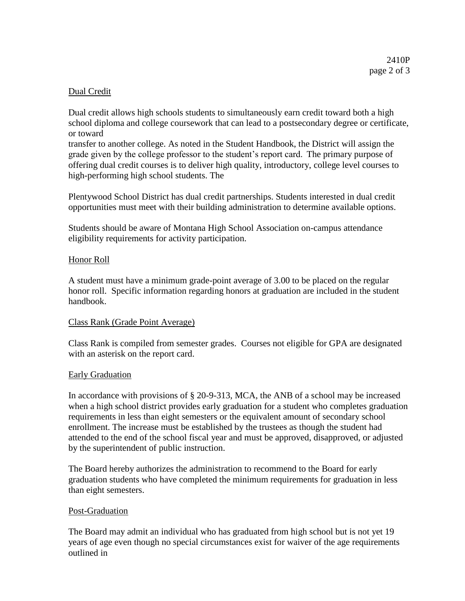# Dual Credit

Dual credit allows high schools students to simultaneously earn credit toward both a high school diploma and college coursework that can lead to a postsecondary degree or certificate, or toward

transfer to another college. As noted in the Student Handbook, the District will assign the grade given by the college professor to the student's report card. The primary purpose of offering dual credit courses is to deliver high quality, introductory, college level courses to high-performing high school students. The

Plentywood School District has dual credit partnerships. Students interested in dual credit opportunities must meet with their building administration to determine available options.

Students should be aware of Montana High School Association on-campus attendance eligibility requirements for activity participation.

### Honor Roll

A student must have a minimum grade-point average of 3.00 to be placed on the regular honor roll. Specific information regarding honors at graduation are included in the student handbook.

### Class Rank (Grade Point Average)

Class Rank is compiled from semester grades. Courses not eligible for GPA are designated with an asterisk on the report card.

### Early Graduation

In accordance with provisions of § 20-9-313, MCA, the ANB of a school may be increased when a high school district provides early graduation for a student who completes graduation requirements in less than eight semesters or the equivalent amount of secondary school enrollment. The increase must be established by the trustees as though the student had attended to the end of the school fiscal year and must be approved, disapproved, or adjusted by the superintendent of public instruction.

The Board hereby authorizes the administration to recommend to the Board for early graduation students who have completed the minimum requirements for graduation in less than eight semesters.

### Post-Graduation

The Board may admit an individual who has graduated from high school but is not yet 19 years of age even though no special circumstances exist for waiver of the age requirements outlined in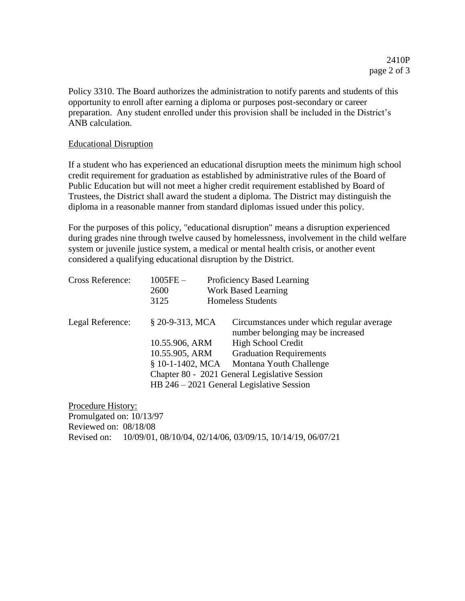Policy 3310. The Board authorizes the administration to notify parents and students of this opportunity to enroll after earning a diploma or purposes post-secondary or career preparation. Any student enrolled under this provision shall be included in the District's ANB calculation.

# Educational Disruption

If a student who has experienced an educational disruption meets the minimum high school credit requirement for graduation as established by administrative rules of the Board of Public Education but will not meet a higher credit requirement established by Board of Trustees, the District shall award the student a diploma. The District may distinguish the diploma in a reasonable manner from standard diplomas issued under this policy.

For the purposes of this policy, "educational disruption" means a disruption experienced during grades nine through twelve caused by homelessness, involvement in the child welfare system or juvenile justice system, a medical or mental health crisis, or another event considered a qualifying educational disruption by the District.

| <b>Cross Reference:</b> | $1005FE -$<br>2600<br>3125                                                 | Proficiency Based Learning<br><b>Work Based Learning</b><br><b>Homeless Students</b>                                                                                                                                                                                     |
|-------------------------|----------------------------------------------------------------------------|--------------------------------------------------------------------------------------------------------------------------------------------------------------------------------------------------------------------------------------------------------------------------|
| Legal Reference:        | $$20-9-313, MCA$<br>10.55.906, ARM<br>10.55.905, ARM<br>$$10-1-1402$ , MCA | Circumstances under which regular average<br>number belonging may be increased<br><b>High School Credit</b><br><b>Graduation Requirements</b><br>Montana Youth Challenge<br>Chapter 80 - 2021 General Legislative Session<br>HB $246 - 2021$ General Legislative Session |

Procedure History: Promulgated on: 10/13/97 Reviewed on: 08/18/08 Revised on: 10/09/01, 08/10/04, 02/14/06, 03/09/15, 10/14/19, 06/07/21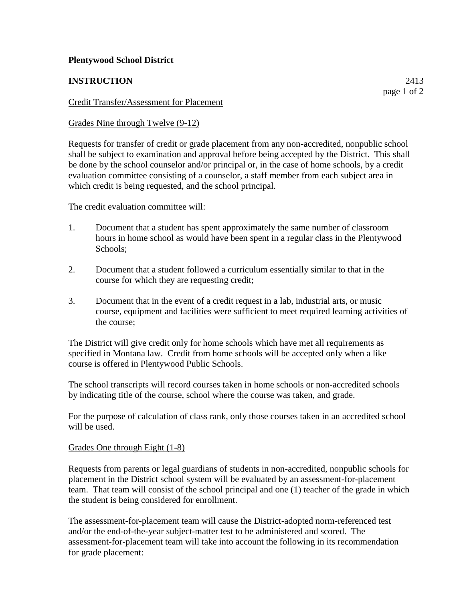# **INSTRUCTION** 2413

page 1 of 2

### Credit Transfer/Assessment for Placement

### Grades Nine through Twelve (9-12)

Requests for transfer of credit or grade placement from any non-accredited, nonpublic school shall be subject to examination and approval before being accepted by the District. This shall be done by the school counselor and/or principal or, in the case of home schools, by a credit evaluation committee consisting of a counselor, a staff member from each subject area in which credit is being requested, and the school principal.

The credit evaluation committee will:

- 1. Document that a student has spent approximately the same number of classroom hours in home school as would have been spent in a regular class in the Plentywood Schools;
- 2. Document that a student followed a curriculum essentially similar to that in the course for which they are requesting credit;
- 3. Document that in the event of a credit request in a lab, industrial arts, or music course, equipment and facilities were sufficient to meet required learning activities of the course;

The District will give credit only for home schools which have met all requirements as specified in Montana law. Credit from home schools will be accepted only when a like course is offered in Plentywood Public Schools.

The school transcripts will record courses taken in home schools or non-accredited schools by indicating title of the course, school where the course was taken, and grade.

For the purpose of calculation of class rank, only those courses taken in an accredited school will be used.

#### Grades One through Eight (1-8)

Requests from parents or legal guardians of students in non-accredited, nonpublic schools for placement in the District school system will be evaluated by an assessment-for-placement team. That team will consist of the school principal and one (1) teacher of the grade in which the student is being considered for enrollment.

The assessment-for-placement team will cause the District-adopted norm-referenced test and/or the end-of-the-year subject-matter test to be administered and scored. The assessment-for-placement team will take into account the following in its recommendation for grade placement: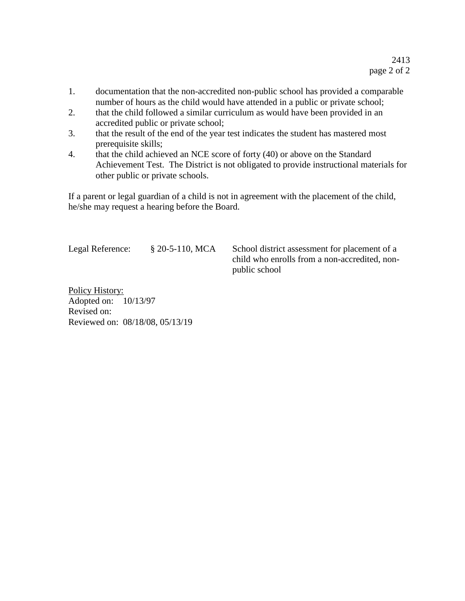- 1. documentation that the non-accredited non-public school has provided a comparable number of hours as the child would have attended in a public or private school;
- 2. that the child followed a similar curriculum as would have been provided in an accredited public or private school;
- 3. that the result of the end of the year test indicates the student has mastered most prerequisite skills;
- 4. that the child achieved an NCE score of forty (40) or above on the Standard Achievement Test. The District is not obligated to provide instructional materials for other public or private schools.

If a parent or legal guardian of a child is not in agreement with the placement of the child, he/she may request a hearing before the Board.

Legal Reference: § 20-5-110, MCA School district assessment for placement of a child who enrolls from a non-accredited, nonpublic school

Policy History: Adopted on: 10/13/97 Revised on: Reviewed on: 08/18/08, 05/13/19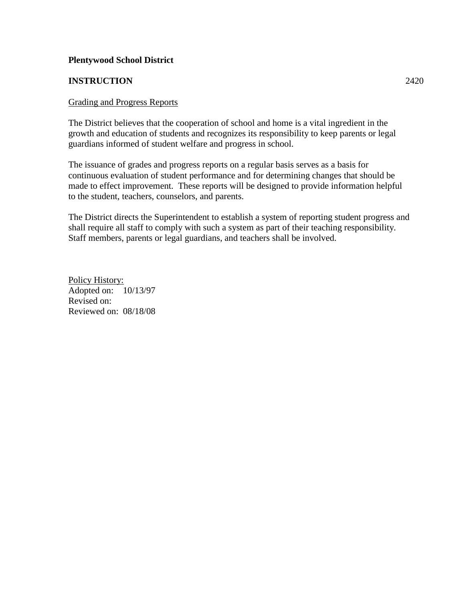## **INSTRUCTION** 2420

### Grading and Progress Reports

The District believes that the cooperation of school and home is a vital ingredient in the growth and education of students and recognizes its responsibility to keep parents or legal guardians informed of student welfare and progress in school.

The issuance of grades and progress reports on a regular basis serves as a basis for continuous evaluation of student performance and for determining changes that should be made to effect improvement. These reports will be designed to provide information helpful to the student, teachers, counselors, and parents.

The District directs the Superintendent to establish a system of reporting student progress and shall require all staff to comply with such a system as part of their teaching responsibility. Staff members, parents or legal guardians, and teachers shall be involved.

Policy History: Adopted on: 10/13/97 Revised on: Reviewed on: 08/18/08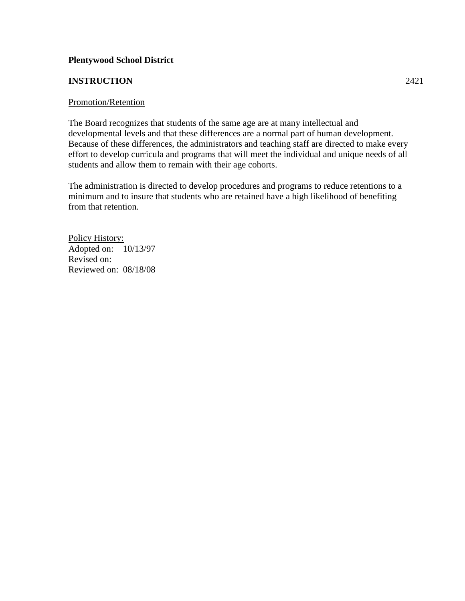### **INSTRUCTION** 2421

### Promotion/Retention

The Board recognizes that students of the same age are at many intellectual and developmental levels and that these differences are a normal part of human development. Because of these differences, the administrators and teaching staff are directed to make every effort to develop curricula and programs that will meet the individual and unique needs of all students and allow them to remain with their age cohorts.

The administration is directed to develop procedures and programs to reduce retentions to a minimum and to insure that students who are retained have a high likelihood of benefiting from that retention.

Policy History: Adopted on: 10/13/97 Revised on: Reviewed on: 08/18/08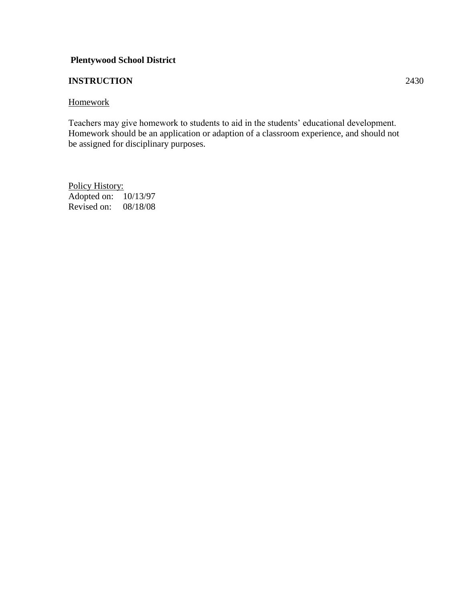# **INSTRUCTION** 2430

## **Homework**

Teachers may give homework to students to aid in the students' educational development. Homework should be an application or adaption of a classroom experience, and should not be assigned for disciplinary purposes.

Policy History: Adopted on: 10/13/97 Revised on: 08/18/08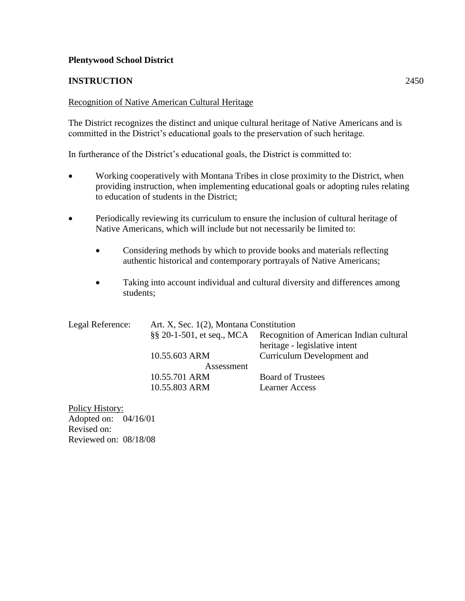## **INSTRUCTION** 2450

### Recognition of Native American Cultural Heritage

The District recognizes the distinct and unique cultural heritage of Native Americans and is committed in the District's educational goals to the preservation of such heritage.

In furtherance of the District's educational goals, the District is committed to:

- Working cooperatively with Montana Tribes in close proximity to the District, when providing instruction, when implementing educational goals or adopting rules relating to education of students in the District;
- Periodically reviewing its curriculum to ensure the inclusion of cultural heritage of Native Americans, which will include but not necessarily be limited to:
	- Considering methods by which to provide books and materials reflecting authentic historical and contemporary portrayals of Native Americans;
	- Taking into account individual and cultural diversity and differences among students;

| Legal Reference: | Art. X, Sec. 1(2), Montana Constitution |                                                                   |  |
|------------------|-----------------------------------------|-------------------------------------------------------------------|--|
|                  |                                         | §§ 20-1-501, et seq., MCA Recognition of American Indian cultural |  |
|                  |                                         | heritage - legislative intent                                     |  |
|                  | 10.55.603 ARM                           | Curriculum Development and                                        |  |
|                  | Assessment                              |                                                                   |  |
|                  | 10.55.701 ARM                           | <b>Board of Trustees</b>                                          |  |
|                  | 10.55.803 ARM                           | <b>Learner Access</b>                                             |  |
|                  |                                         |                                                                   |  |

Policy History: Adopted on: 04/16/01 Revised on: Reviewed on: 08/18/08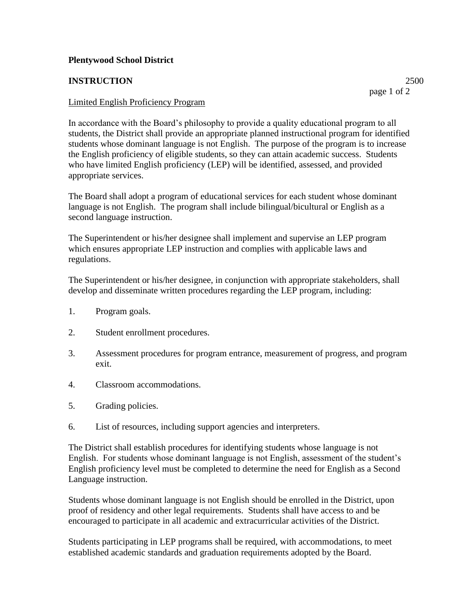# **INSTRUCTION** 2500

page 1 of 2

## Limited English Proficiency Program

In accordance with the Board's philosophy to provide a quality educational program to all students, the District shall provide an appropriate planned instructional program for identified students whose dominant language is not English. The purpose of the program is to increase the English proficiency of eligible students, so they can attain academic success. Students who have limited English proficiency (LEP) will be identified, assessed, and provided appropriate services.

The Board shall adopt a program of educational services for each student whose dominant language is not English. The program shall include bilingual/bicultural or English as a second language instruction.

The Superintendent or his/her designee shall implement and supervise an LEP program which ensures appropriate LEP instruction and complies with applicable laws and regulations.

The Superintendent or his/her designee, in conjunction with appropriate stakeholders, shall develop and disseminate written procedures regarding the LEP program, including:

- 1. Program goals.
- 2. Student enrollment procedures.
- 3. Assessment procedures for program entrance, measurement of progress, and program exit.
- 4. Classroom accommodations.
- 5. Grading policies.
- 6. List of resources, including support agencies and interpreters.

The District shall establish procedures for identifying students whose language is not English. For students whose dominant language is not English, assessment of the student's English proficiency level must be completed to determine the need for English as a Second Language instruction.

Students whose dominant language is not English should be enrolled in the District, upon proof of residency and other legal requirements. Students shall have access to and be encouraged to participate in all academic and extracurricular activities of the District.

Students participating in LEP programs shall be required, with accommodations, to meet established academic standards and graduation requirements adopted by the Board.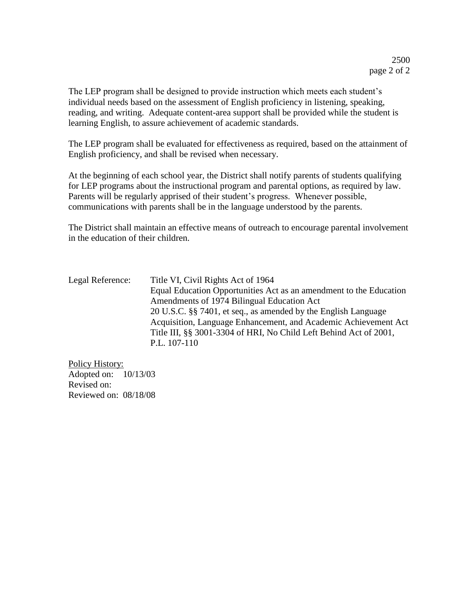The LEP program shall be designed to provide instruction which meets each student's individual needs based on the assessment of English proficiency in listening, speaking, reading, and writing. Adequate content-area support shall be provided while the student is learning English, to assure achievement of academic standards.

The LEP program shall be evaluated for effectiveness as required, based on the attainment of English proficiency, and shall be revised when necessary.

At the beginning of each school year, the District shall notify parents of students qualifying for LEP programs about the instructional program and parental options, as required by law. Parents will be regularly apprised of their student's progress. Whenever possible, communications with parents shall be in the language understood by the parents.

The District shall maintain an effective means of outreach to encourage parental involvement in the education of their children.

Legal Reference: Title VI, Civil Rights Act of 1964 Equal Education Opportunities Act as an amendment to the Education Amendments of 1974 Bilingual Education Act 20 U.S.C. §§ 7401, et seq., as amended by the English Language Acquisition, Language Enhancement, and Academic Achievement Act Title III, §§ 3001-3304 of HRI, No Child Left Behind Act of 2001, P.L. 107-110

Policy History: Adopted on: 10/13/03 Revised on: Reviewed on: 08/18/08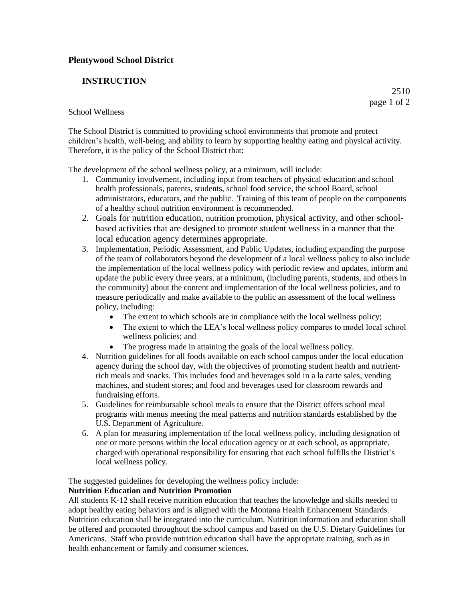## **INSTRUCTION**

2510 page 1 of 2

### School Wellness

The School District is committed to providing school environments that promote and protect children's health, well-being, and ability to learn by supporting healthy eating and physical activity. Therefore, it is the policy of the School District that:

The development of the school wellness policy, at a minimum, will include:

- 1. Community involvement, including input from teachers of physical education and school health professionals, parents, students, school food service, the school Board, school administrators, educators, and the public. Training of this team of people on the components of a healthy school nutrition environment is recommended.
- 2. Goals for nutrition education, nutrition promotion, physical activity, and other schoolbased activities that are designed to promote student wellness in a manner that the local education agency determines appropriate.
- 3. Implementation, Periodic Assessment, and Public Updates, including expanding the purpose of the team of collaborators beyond the development of a local wellness policy to also include the implementation of the local wellness policy with periodic review and updates, inform and update the public every three years, at a minimum, (including parents, students, and others in the community) about the content and implementation of the local wellness policies, and to measure periodically and make available to the public an assessment of the local wellness policy, including:
	- The extent to which schools are in compliance with the local wellness policy;
	- The extent to which the LEA's local wellness policy compares to model local school wellness policies; and
	- The progress made in attaining the goals of the local wellness policy.
- 4. Nutrition guidelines for all foods available on each school campus under the local education agency during the school day, with the objectives of promoting student health and nutrientrich meals and snacks. This includes food and beverages sold in a la carte sales, vending machines, and student stores; and food and beverages used for classroom rewards and fundraising efforts.
- 5. Guidelines for reimbursable school meals to ensure that the District offers school meal programs with menus meeting the meal patterns and nutrition standards established by the U.S. Department of Agriculture.
- 6. A plan for measuring implementation of the local wellness policy, including designation of one or more persons within the local education agency or at each school, as appropriate, charged with operational responsibility for ensuring that each school fulfills the District's local wellness policy.

The suggested guidelines for developing the wellness policy include:

### **Nutrition Education and Nutrition Promotion**

All students K-12 shall receive nutrition education that teaches the knowledge and skills needed to adopt healthy eating behaviors and is aligned with the Montana Health Enhancement Standards. Nutrition education shall be integrated into the curriculum. Nutrition information and education shall be offered and promoted throughout the school campus and based on the U.S. Dietary Guidelines for Americans. Staff who provide nutrition education shall have the appropriate training, such as in health enhancement or family and consumer sciences.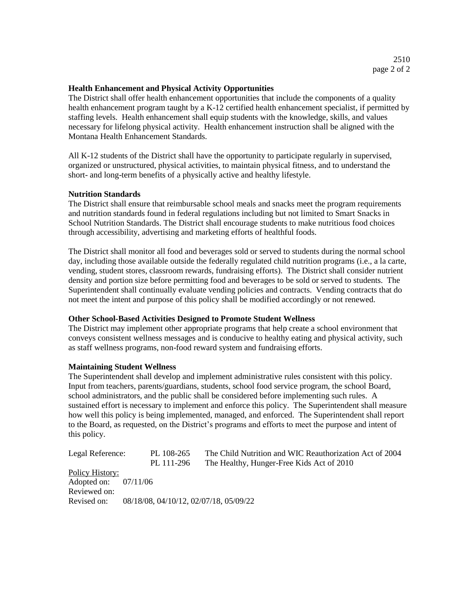#### **Health Enhancement and Physical Activity Opportunities**

The District shall offer health enhancement opportunities that include the components of a quality health enhancement program taught by a K-12 certified health enhancement specialist, if permitted by staffing levels. Health enhancement shall equip students with the knowledge, skills, and values necessary for lifelong physical activity. Health enhancement instruction shall be aligned with the Montana Health Enhancement Standards.

All K-12 students of the District shall have the opportunity to participate regularly in supervised, organized or unstructured, physical activities, to maintain physical fitness, and to understand the short- and long-term benefits of a physically active and healthy lifestyle.

#### **Nutrition Standards**

The District shall ensure that reimbursable school meals and snacks meet the program requirements and nutrition standards found in federal regulations including but not limited to Smart Snacks in School Nutrition Standards. The District shall encourage students to make nutritious food choices through accessibility, advertising and marketing efforts of healthful foods.

The District shall monitor all food and beverages sold or served to students during the normal school day, including those available outside the federally regulated child nutrition programs (i.e., a la carte, vending, student stores, classroom rewards, fundraising efforts). The District shall consider nutrient density and portion size before permitting food and beverages to be sold or served to students. The Superintendent shall continually evaluate vending policies and contracts. Vending contracts that do not meet the intent and purpose of this policy shall be modified accordingly or not renewed.

#### **Other School-Based Activities Designed to Promote Student Wellness**

The District may implement other appropriate programs that help create a school environment that conveys consistent wellness messages and is conducive to healthy eating and physical activity, such as staff wellness programs, non-food reward system and fundraising efforts.

#### **Maintaining Student Wellness**

The Superintendent shall develop and implement administrative rules consistent with this policy. Input from teachers, parents/guardians, students, school food service program, the school Board, school administrators, and the public shall be considered before implementing such rules. A sustained effort is necessary to implement and enforce this policy. The Superintendent shall measure how well this policy is being implemented, managed, and enforced. The Superintendent shall report to the Board, as requested, on the District's programs and efforts to meet the purpose and intent of this policy.

Legal Reference: PL 108-265 The Child Nutrition and WIC Reauthorization Act of 2004 PL 111-296 The Healthy, Hunger-Free Kids Act of 2010 Policy History: Adopted on: 07/11/06 Reviewed on: Revised on: 08/18/08, 04/10/12, 02/07/18, 05/09/22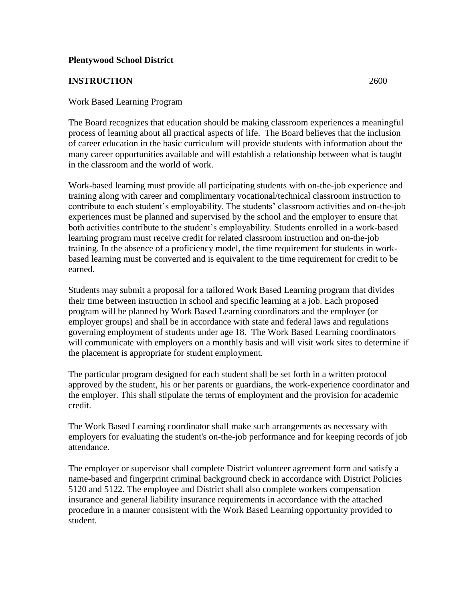# **INSTRUCTION** 2600

## Work Based Learning Program

The Board recognizes that education should be making classroom experiences a meaningful process of learning about all practical aspects of life. The Board believes that the inclusion of career education in the basic curriculum will provide students with information about the many career opportunities available and will establish a relationship between what is taught in the classroom and the world of work.

Work-based learning must provide all participating students with on-the-job experience and training along with career and complimentary vocational/technical classroom instruction to contribute to each student's employability. The students' classroom activities and on-the-job experiences must be planned and supervised by the school and the employer to ensure that both activities contribute to the student's employability. Students enrolled in a work-based learning program must receive credit for related classroom instruction and on-the-job training. In the absence of a proficiency model, the time requirement for students in workbased learning must be converted and is equivalent to the time requirement for credit to be earned.

Students may submit a proposal for a tailored Work Based Learning program that divides their time between instruction in school and specific learning at a job. Each proposed program will be planned by Work Based Learning coordinators and the employer (or employer groups) and shall be in accordance with state and federal laws and regulations governing employment of students under age 18. The Work Based Learning coordinators will communicate with employers on a monthly basis and will visit work sites to determine if the placement is appropriate for student employment.

The particular program designed for each student shall be set forth in a written protocol approved by the student, his or her parents or guardians, the work-experience coordinator and the employer. This shall stipulate the terms of employment and the provision for academic credit.

The Work Based Learning coordinator shall make such arrangements as necessary with employers for evaluating the student's on-the-job performance and for keeping records of job attendance.

The employer or supervisor shall complete District volunteer agreement form and satisfy a name-based and fingerprint criminal background check in accordance with District Policies 5120 and 5122. The employee and District shall also complete workers compensation insurance and general liability insurance requirements in accordance with the attached procedure in a manner consistent with the Work Based Learning opportunity provided to student.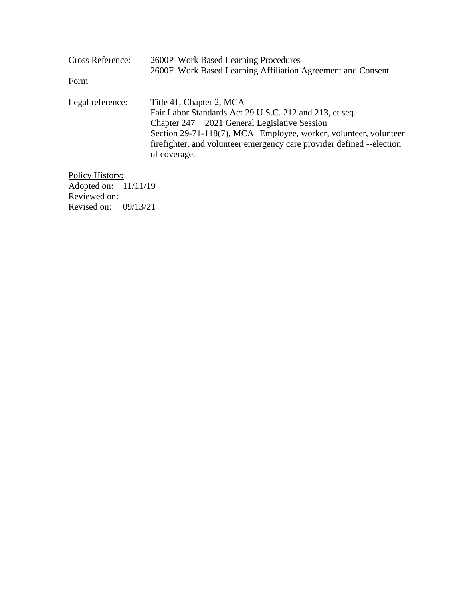| <b>Cross Reference:</b> | 2600P Work Based Learning Procedures                                  |  |  |  |
|-------------------------|-----------------------------------------------------------------------|--|--|--|
|                         | 2600F Work Based Learning Affiliation Agreement and Consent           |  |  |  |
| Form                    |                                                                       |  |  |  |
| Legal reference:        | Title 41, Chapter 2, MCA                                              |  |  |  |
|                         | Fair Labor Standards Act 29 U.S.C. 212 and 213, et seq.               |  |  |  |
|                         | Chapter 247 2021 General Legislative Session                          |  |  |  |
|                         | Section 29-71-118(7), MCA Employee, worker, volunteer, volunteer      |  |  |  |
|                         | firefighter, and volunteer emergency care provider defined --election |  |  |  |
|                         | of coverage.                                                          |  |  |  |
|                         |                                                                       |  |  |  |

Policy History: Adopted on: 11/11/19 Reviewed on: Revised on: 09/13/21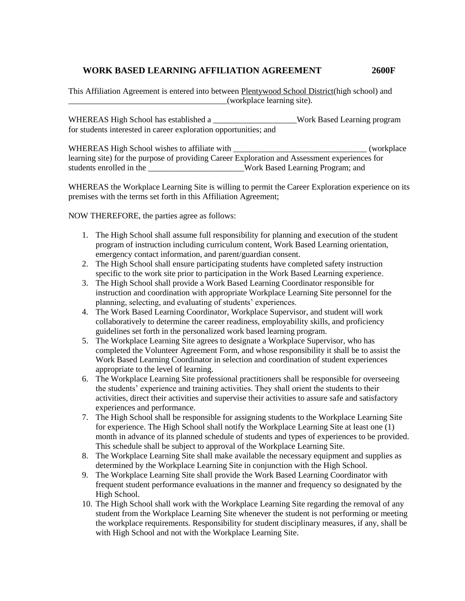## **WORK BASED LEARNING AFFILIATION AGREEMENT 2600F**

This Affiliation Agreement is entered into between Plentywood School District(high school) and \_\_\_\_\_\_\_\_\_\_\_\_\_\_\_\_\_\_\_\_\_\_\_\_\_\_\_\_\_\_\_\_\_\_\_\_\_\_(workplace learning site).

WHEREAS High School has established a \_\_\_\_\_\_\_\_\_\_\_\_\_\_\_\_\_\_\_\_Work Based Learning program for students interested in career exploration opportunities; and

WHEREAS High School wishes to affiliate with \_\_\_\_\_\_\_\_\_\_\_\_\_\_\_\_\_\_\_\_\_\_\_\_\_\_\_\_\_\_\_\_\_\_\_ (workplace learning site) for the purpose of providing Career Exploration and Assessment experiences for students enrolled in the \_\_\_\_\_\_\_\_\_\_\_\_\_\_\_\_\_\_\_\_\_\_\_Work Based Learning Program; and

WHEREAS the Workplace Learning Site is willing to permit the Career Exploration experience on its premises with the terms set forth in this Affiliation Agreement;

NOW THEREFORE, the parties agree as follows:

- 1. The High School shall assume full responsibility for planning and execution of the student program of instruction including curriculum content, Work Based Learning orientation, emergency contact information, and parent/guardian consent.
- 2. The High School shall ensure participating students have completed safety instruction specific to the work site prior to participation in the Work Based Learning experience.
- 3. The High School shall provide a Work Based Learning Coordinator responsible for instruction and coordination with appropriate Workplace Learning Site personnel for the planning, selecting, and evaluating of students' experiences.
- 4. The Work Based Learning Coordinator, Workplace Supervisor, and student will work collaboratively to determine the career readiness, employability skills, and proficiency guidelines set forth in the personalized work based learning program.
- 5. The Workplace Learning Site agrees to designate a Workplace Supervisor, who has completed the Volunteer Agreement Form, and whose responsibility it shall be to assist the Work Based Learning Coordinator in selection and coordination of student experiences appropriate to the level of learning.
- 6. The Workplace Learning Site professional practitioners shall be responsible for overseeing the students' experience and training activities. They shall orient the students to their activities, direct their activities and supervise their activities to assure safe and satisfactory experiences and performance.
- 7. The High School shall be responsible for assigning students to the Workplace Learning Site for experience. The High School shall notify the Workplace Learning Site at least one (1) month in advance of its planned schedule of students and types of experiences to be provided. This schedule shall be subject to approval of the Workplace Learning Site.
- 8. The Workplace Learning Site shall make available the necessary equipment and supplies as determined by the Workplace Learning Site in conjunction with the High School.
- 9. The Workplace Learning Site shall provide the Work Based Learning Coordinator with frequent student performance evaluations in the manner and frequency so designated by the High School.
- 10. The High School shall work with the Workplace Learning Site regarding the removal of any student from the Workplace Learning Site whenever the student is not performing or meeting the workplace requirements. Responsibility for student disciplinary measures, if any, shall be with High School and not with the Workplace Learning Site.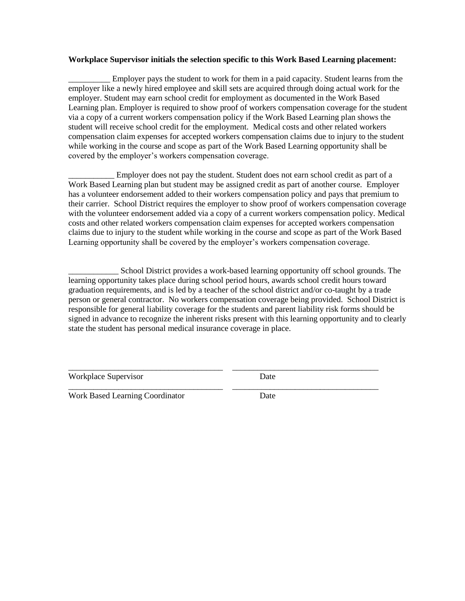#### **Workplace Supervisor initials the selection specific to this Work Based Learning placement:**

\_\_\_\_\_\_\_\_\_\_ Employer pays the student to work for them in a paid capacity. Student learns from the employer like a newly hired employee and skill sets are acquired through doing actual work for the employer. Student may earn school credit for employment as documented in the Work Based Learning plan. Employer is required to show proof of workers compensation coverage for the student via a copy of a current workers compensation policy if the Work Based Learning plan shows the student will receive school credit for the employment. Medical costs and other related workers compensation claim expenses for accepted workers compensation claims due to injury to the student while working in the course and scope as part of the Work Based Learning opportunity shall be covered by the employer's workers compensation coverage.

\_\_\_\_\_\_\_\_\_\_\_ Employer does not pay the student. Student does not earn school credit as part of a Work Based Learning plan but student may be assigned credit as part of another course. Employer has a volunteer endorsement added to their workers compensation policy and pays that premium to their carrier. School District requires the employer to show proof of workers compensation coverage with the volunteer endorsement added via a copy of a current workers compensation policy. Medical costs and other related workers compensation claim expenses for accepted workers compensation claims due to injury to the student while working in the course and scope as part of the Work Based Learning opportunity shall be covered by the employer's workers compensation coverage.

\_\_\_\_\_\_\_\_\_\_\_\_ School District provides a work-based learning opportunity off school grounds. The learning opportunity takes place during school period hours, awards school credit hours toward graduation requirements, and is led by a teacher of the school district and/or co-taught by a trade person or general contractor. No workers compensation coverage being provided. School District is responsible for general liability coverage for the students and parent liability risk forms should be signed in advance to recognize the inherent risks present with this learning opportunity and to clearly state the student has personal medical insurance coverage in place.

\_\_\_\_\_\_\_\_\_\_\_\_\_\_\_\_\_\_\_\_\_\_\_\_\_\_\_\_\_\_\_\_\_\_\_\_\_ \_\_\_\_\_\_\_\_\_\_\_\_\_\_\_\_\_\_\_\_\_\_\_\_\_\_\_\_\_\_\_\_\_\_\_

\_\_\_\_\_\_\_\_\_\_\_\_\_\_\_\_\_\_\_\_\_\_\_\_\_\_\_\_\_\_\_\_\_\_\_\_\_ \_\_\_\_\_\_\_\_\_\_\_\_\_\_\_\_\_\_\_\_\_\_\_\_\_\_\_\_\_\_\_\_\_\_\_

Workplace Supervisor Date

Work Based Learning Coordinator Date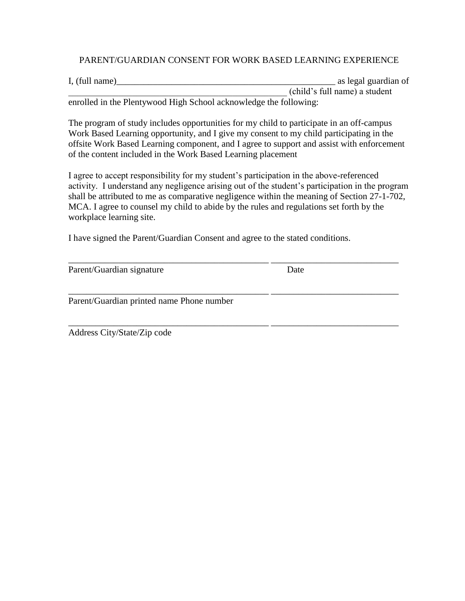## PARENT/GUARDIAN CONSENT FOR WORK BASED LEARNING EXPERIENCE

| I, (full name)        |                                        |  | as legal guardian of          |
|-----------------------|----------------------------------------|--|-------------------------------|
|                       |                                        |  | (child's full name) a student |
| $11 \quad 11 \quad 1$ | $\frac{1}{2}$ 111 1 0 1 1 1 1 1 1 0 11 |  |                               |

enrolled in the Plentywood High School acknowledge the following:

The program of study includes opportunities for my child to participate in an off-campus Work Based Learning opportunity, and I give my consent to my child participating in the offsite Work Based Learning component, and I agree to support and assist with enforcement of the content included in the Work Based Learning placement

I agree to accept responsibility for my student's participation in the above-referenced activity. I understand any negligence arising out of the student's participation in the program shall be attributed to me as comparative negligence within the meaning of Section 27-1-702, MCA. I agree to counsel my child to abide by the rules and regulations set forth by the workplace learning site.

\_\_\_\_\_\_\_\_\_\_\_\_\_\_\_\_\_\_\_\_\_\_\_\_\_\_\_\_\_\_\_\_\_\_\_\_\_\_\_\_\_\_\_\_ \_\_\_\_\_\_\_\_\_\_\_\_\_\_\_\_\_\_\_\_\_\_\_\_\_\_\_\_

\_\_\_\_\_\_\_\_\_\_\_\_\_\_\_\_\_\_\_\_\_\_\_\_\_\_\_\_\_\_\_\_\_\_\_\_\_\_\_\_\_\_\_\_ \_\_\_\_\_\_\_\_\_\_\_\_\_\_\_\_\_\_\_\_\_\_\_\_\_\_\_\_

\_\_\_\_\_\_\_\_\_\_\_\_\_\_\_\_\_\_\_\_\_\_\_\_\_\_\_\_\_\_\_\_\_\_\_\_\_\_\_\_\_\_\_\_ \_\_\_\_\_\_\_\_\_\_\_\_\_\_\_\_\_\_\_\_\_\_\_\_\_\_\_\_

I have signed the Parent/Guardian Consent and agree to the stated conditions.

| Parent/Guardian signature | Date |
|---------------------------|------|
|                           |      |

Parent/Guardian printed name Phone number

Address City/State/Zip code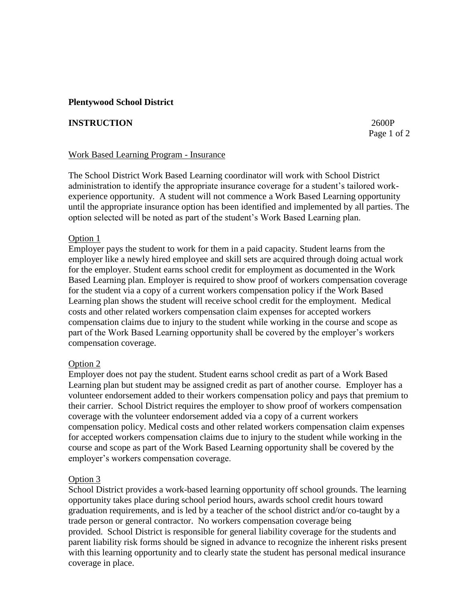### **INSTRUCTION** 2600P

Page 1 of 2

### Work Based Learning Program - Insurance

The School District Work Based Learning coordinator will work with School District administration to identify the appropriate insurance coverage for a student's tailored workexperience opportunity. A student will not commence a Work Based Learning opportunity until the appropriate insurance option has been identified and implemented by all parties. The option selected will be noted as part of the student's Work Based Learning plan.

### Option 1

Employer pays the student to work for them in a paid capacity. Student learns from the employer like a newly hired employee and skill sets are acquired through doing actual work for the employer. Student earns school credit for employment as documented in the Work Based Learning plan. Employer is required to show proof of workers compensation coverage for the student via a copy of a current workers compensation policy if the Work Based Learning plan shows the student will receive school credit for the employment. Medical costs and other related workers compensation claim expenses for accepted workers compensation claims due to injury to the student while working in the course and scope as part of the Work Based Learning opportunity shall be covered by the employer's workers compensation coverage.

### Option 2

Employer does not pay the student. Student earns school credit as part of a Work Based Learning plan but student may be assigned credit as part of another course. Employer has a volunteer endorsement added to their workers compensation policy and pays that premium to their carrier. School District requires the employer to show proof of workers compensation coverage with the volunteer endorsement added via a copy of a current workers compensation policy. Medical costs and other related workers compensation claim expenses for accepted workers compensation claims due to injury to the student while working in the course and scope as part of the Work Based Learning opportunity shall be covered by the employer's workers compensation coverage.

### Option 3

School District provides a work-based learning opportunity off school grounds. The learning opportunity takes place during school period hours, awards school credit hours toward graduation requirements, and is led by a teacher of the school district and/or co-taught by a trade person or general contractor. No workers compensation coverage being provided. School District is responsible for general liability coverage for the students and parent liability risk forms should be signed in advance to recognize the inherent risks present with this learning opportunity and to clearly state the student has personal medical insurance coverage in place.